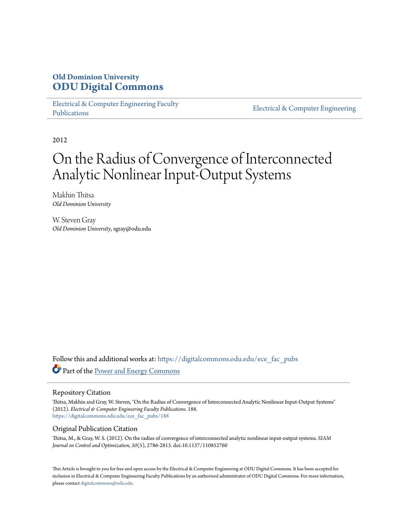## **Old Dominion University [ODU Digital Commons](https://digitalcommons.odu.edu?utm_source=digitalcommons.odu.edu%2Fece_fac_pubs%2F188&utm_medium=PDF&utm_campaign=PDFCoverPages)**

[Electrical & Computer Engineering Faculty](https://digitalcommons.odu.edu/ece_fac_pubs?utm_source=digitalcommons.odu.edu%2Fece_fac_pubs%2F188&utm_medium=PDF&utm_campaign=PDFCoverPages) [Publications](https://digitalcommons.odu.edu/ece_fac_pubs?utm_source=digitalcommons.odu.edu%2Fece_fac_pubs%2F188&utm_medium=PDF&utm_campaign=PDFCoverPages)

[Electrical & Computer Engineering](https://digitalcommons.odu.edu/ece?utm_source=digitalcommons.odu.edu%2Fece_fac_pubs%2F188&utm_medium=PDF&utm_campaign=PDFCoverPages)

2012

# On the Radius of Convergence of Interconnected Analytic Nonlinear Input-Output Systems

Makhin Thitsa *Old Dominion University*

W. Steven Gray *Old Dominion University*, sgray@odu.edu

Follow this and additional works at: [https://digitalcommons.odu.edu/ece\\_fac\\_pubs](https://digitalcommons.odu.edu/ece_fac_pubs?utm_source=digitalcommons.odu.edu%2Fece_fac_pubs%2F188&utm_medium=PDF&utm_campaign=PDFCoverPages) Part of the [Power and Energy Commons](http://network.bepress.com/hgg/discipline/274?utm_source=digitalcommons.odu.edu%2Fece_fac_pubs%2F188&utm_medium=PDF&utm_campaign=PDFCoverPages)

#### Repository Citation

Thitsa, Makhin and Gray, W. Steven, "On the Radius of Convergence of Interconnected Analytic Nonlinear Input-Output Systems" (2012). *Electrical & Computer Engineering Faculty Publications*. 188. [https://digitalcommons.odu.edu/ece\\_fac\\_pubs/188](https://digitalcommons.odu.edu/ece_fac_pubs/188?utm_source=digitalcommons.odu.edu%2Fece_fac_pubs%2F188&utm_medium=PDF&utm_campaign=PDFCoverPages)

### Original Publication Citation

Thitsa, M., & Gray, W. S. (2012). On the radius of convergence of interconnected analytic nonlinear input-output systems. *SIAM Journal on Control and Optimization, 50*(5), 2786-2813. doi:10.1137/110852760

This Article is brought to you for free and open access by the Electrical & Computer Engineering at ODU Digital Commons. It has been accepted for inclusion in Electrical & Computer Engineering Faculty Publications by an authorized administrator of ODU Digital Commons. For more information, please contact [digitalcommons@odu.edu](mailto:digitalcommons@odu.edu).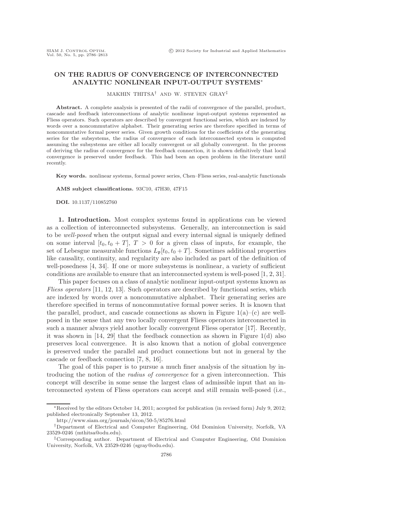#### **ON THE RADIUS OF CONVERGENCE OF INTERCONNECTED ANALYTIC NONLINEAR INPUT-OUTPUT SYSTEMS**∗

MAKHIN THITSA† AND W. STEVEN GRAY‡

**Abstract.** A complete analysis is presented of the radii of convergence of the parallel, product, cascade and feedback interconnections of analytic nonlinear input-output systems represented as Fliess operators. Such operators are described by convergent functional series, which are indexed by words over a noncommutative alphabet. Their generating series are therefore specified in terms of noncommutative formal power series. Given growth conditions for the coefficients of the generating series for the subsystems, the radius of convergence of each interconnected system is computed assuming the subsystems are either all locally convergent or all globally convergent. In the process of deriving the radius of convergence for the feedback connection, it is shown definitively that local convergence is preserved under feedback. This had been an open problem in the literature until recently.

**Key words.** nonlinear systems, formal power series, Chen–Fliess series, real-analytic functionals

**AMS subject classifications.** 93C10, 47H30, 47F15

**DOI.** 10.1137/110852760

**1. Introduction.** Most complex systems found in applications can be viewed as a collection of interconnected subsystems. Generally, an interconnection is said to be *well-posed* when the output signal and every internal signal is uniquely defined on some interval  $[t_0, t_0 + T]$ ,  $T > 0$  for a given class of inputs, for example, the set of Lebesgue measurable functions  $L_p[t_0, t_0 + T]$ . Sometimes additional properties like causality, continuity, and regularity are also included as part of the definition of well-posedness [4, 34]. If one or more subsystems is nonlinear, a variety of sufficient conditions are available to ensure that an interconnected system is well-posed [1, 2, 31].

This paper focuses on a class of analytic nonlinear input-output systems known as *Fliess operators* [11, 12, 13]. Such operators are described by functional series, which are indexed by words over a noncommutative alphabet. Their generating series are therefore specified in terms of noncommutative formal power series. It is known that the parallel, product, and cascade connections as shown in Figure  $1(a)$ –(c) are wellposed in the sense that any two locally convergent Fliess operators interconnected in such a manner always yield another locally convergent Fliess operator [17]. Recently, it was shown in  $[14, 29]$  that the feedback connection as shown in Figure 1(d) also preserves local convergence. It is also known that a notion of global convergence is preserved under the parallel and product connections but not in general by the cascade or feedback connection [7, 8, 16].

The goal of this paper is to pursue a much finer analysis of the situation by introducing the notion of the *radius of convergence* for a given interconnection. This concept will describe in some sense the largest class of admissible input that an interconnected system of Fliess operators can accept and still remain well-posed (i.e.,

http://www.siam.org/journals/sicon/50-5/85276.html

<sup>∗</sup>Received by the editors October 14, 2011; accepted for publication (in revised form) July 9, 2012; published electronically September 13, 2012.

<sup>†</sup>Department of Electrical and Computer Engineering, Old Dominion University, Norfolk, VA 23529-0246 (mthitsa@odu.edu).

<sup>‡</sup>Corresponding author. Department of Electrical and Computer Engineering, Old Dominion University, Norfolk, VA 23529-0246 (sgray@odu.edu).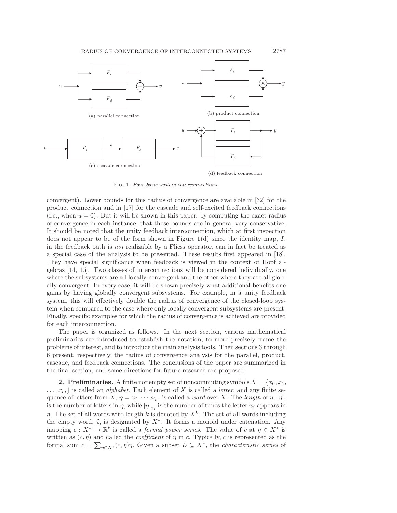

Fig. 1. Four basic system interconnections.

convergent). Lower bounds for this radius of convergence are available in [32] for the product connection and in [17] for the cascade and self-excited feedback connections (i.e., when  $u = 0$ ). But it will be shown in this paper, by computing the exact radius of convergence in each instance, that these bounds are in general very conservative. It should be noted that the unity feedback interconnection, which at first inspection does not appear to be of the form shown in Figure  $1(d)$  since the identity map, I, in the feedback path is *not* realizable by a Fliess operator, can in fact be treated as a special case of the analysis to be presented. These results first appeared in [18]. They have special significance when feedback is viewed in the context of Hopf algebras [14, 15]. Two classes of interconnections will be considered individually, one where the subsystems are all locally convergent and the other where they are all globally convergent. In every case, it will be shown precisely what additional benefits one gains by having globally convergent subsystems. For example, in a unity feedback system, this will effectively double the radius of convergence of the closed-loop system when compared to the case where only locally convergent subsystems are present. Finally, specific examples for which the radius of convergence is achieved are provided for each interconnection.

The paper is organized as follows. In the next section, various mathematical preliminaries are introduced to establish the notation, to more precisely frame the problems of interest, and to introduce the main analysis tools. Then sections 3 through 6 present, respectively, the radius of convergence analysis for the parallel, product, cascade, and feedback connections. The conclusions of the paper are summarized in the final section, and some directions for future research are proposed.

**2. Preliminaries.** A finite nonempty set of noncommuting symbols  $X = \{x_0, x_1,$  $..., x_m$  is called an *alphabet*. Each element of X is called a *letter*, and any finite sequence of letters from X,  $\eta = x_{i_1} \cdots x_{i_k}$ , is called a *word* over X. The *length* of  $\eta$ ,  $|\eta|$ , is the number of letters in  $\eta$ , while  $|\eta|_{x_i}$  is the number of times the letter  $x_i$  appears in  $η$ . The set of all words with length k is denoted by  $X<sup>k</sup>$ . The set of all words including the empty word,  $\emptyset$ , is designated by  $X^*$ . It forms a monoid under catenation. Any mapping  $c: X^* \to \mathbb{R}^{\ell}$  is called a *formal power series*. The value of c at  $\eta \in X^*$  is written as  $(c, \eta)$  and called the *coefficient* of  $\eta$  in c. Typically, c is represented as the formal sum  $c = \sum_{\eta \in X^*} (c, \eta) \eta$ . Given a subset  $L \subseteq X^*$ , the *characteristic series* of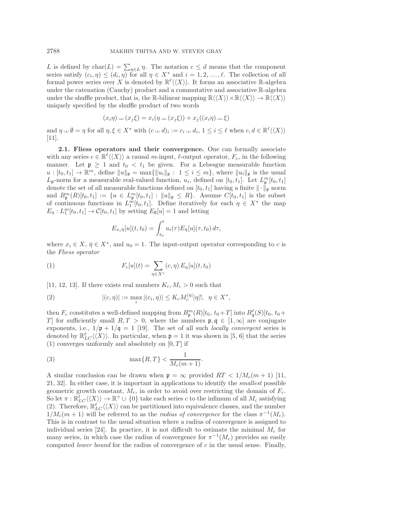L is defined by char(L) =  $\sum_{\eta \in L} \eta$ . The notation  $c \leq d$  means that the component series satisfy  $(c_i, \eta) \leq (d_i, \eta)$  for all  $\eta \in X^*$  and  $i = 1, 2, ..., \ell$ . The collection of all formal power series over X is denoted by  $\mathbb{R}^{\ell} \langle \langle X \rangle \rangle$ . It forms an associative R-algebra under the catenation (Cauchy) product and a commutative and associative R-algebra under the shuffle product, that is, the R-bilinear mapping  $\mathbb{R}\langle\langle X\rangle\rangle\times\mathbb{R}\langle\langle X\rangle\rangle\to\mathbb{R}\langle\langle X\rangle\rangle$ uniquely specified by the shuffle product of two words

$$
(x_i \eta) \perp (x_j \xi) = x_i (\eta \perp (x_j \xi)) + x_j ((x_i \eta) \perp \xi)
$$

and  $\eta \perp \emptyset = \eta$  for all  $\eta, \xi \in X^*$  with  $(c \perp d)_i := c_i \perp d_i$ ,  $1 \leq i \leq \ell$  when  $c, d \in \mathbb{R}^{\ell} \langle \langle X \rangle \rangle$ [11].

**2.1. Fliess operators and their convergence.** One can formally associate with any series  $c \in \mathbb{R}^{\ell} \langle \langle X \rangle \rangle$  a causal m-input,  $\ell$ -output operator,  $F_c$ , in the following manner. Let  $\mathfrak{p} \geq 1$  and  $t_0 < t_1$  be given. For a Lebesgue measurable function  $u: [t_0, t_1] \to \mathbb{R}^m$ , define  $||u||_{\mathfrak{p}} = \max{||u_i||_{\mathfrak{p}} : 1 \leq i \leq m}$ , where  $||u_i||_{\mathfrak{p}}$  is the usual  $L_{\mathfrak{p}}$ -norm for a measurable real-valued function,  $u_i$ , defined on  $[t_0, t_1]$ . Let  $L_{\mathfrak{p}}^m[t_0, t_1]$ denote the set of all measurable functions defined on  $[t_0, t_1]$  having a finite  $\|\cdot\|_{\mathfrak{p}}$  norm and  $B_{\mathfrak{p}}^m(R)[t_0,t_1] := \{ u \in L_{\mathfrak{p}}^m[t_0,t_1] : ||u||_{\mathfrak{p}} \leq R \}.$  Assume  $C[t_0,t_1]$  is the subset of continuous functions in  $L_1^m[t_0, t_1]$ . Define iteratively for each  $\eta \in X^*$  the map  $E_{\eta}: L_1^m[t_0, t_1] \to \mathcal{C}[t_0, t_1]$  by setting  $E_{\emptyset}[u] = 1$  and letting

$$
E_{x_i\bar{\eta}}[u](t,t_0) = \int_{t_0}^t u_i(\tau) E_{\bar{\eta}}[u](\tau,t_0) d\tau,
$$

where  $x_i \in X$ ,  $\bar{\eta} \in X^*$ , and  $u_0 = 1$ . The input-output operator corresponding to c is the *Fliess operator*

(1) 
$$
F_c[u](t) = \sum_{\eta \in X^*} (c, \eta) E_{\eta}[u](t, t_0)
$$

[11, 12, 13]. If there exists real numbers  $K_c, M_c > 0$  such that

(2) 
$$
|(c, \eta)| := \max_{i} |(c_i, \eta)| \leq K_c M_c^{|\eta|} |\eta|!, \ \ \eta \in X^*,
$$

then  $F_c$  constitutes a well-defined mapping from  $B^m_{\mathfrak{p}}(R)[t_0, t_0+T]$  into  $B^{\ell}_{\mathfrak{q}}(S)[t_0, t_0+T]$ T ] for sufficiently small  $R, T > 0$ , where the numbers  $\mathfrak{p}, \mathfrak{q} \in [1, \infty]$  are conjugate exponents, i.e.,  $1/p + 1/q = 1$  [19]. The set of all such *locally convergent* series is denoted by  $\mathbb{R}_{LC}^{\ell} \langle \langle X \rangle \rangle$ . In particular, when  $\mathfrak{p} = 1$  it was shown in [5, 6] that the series  $(1)$  converges uniformly and absolutely on  $[0, T]$  if

$$
\max\{R,T\} < \frac{1}{M_c(m+1)}.
$$

A similar conclusion can be drawn when  $p = \infty$  provided  $RT < 1/M_c(m+1)$  [11, 21, 32]. In either case, it is important in applications to identify the *smallest* possible geometric growth constant,  $M_c$ , in order to avoid over restricting the domain of  $F_c$ . So let  $\pi : \mathbb{R}_{LC}^{\ell} \langle \langle X \rangle \rangle \to \mathbb{R}^+ \cup \{0\}$  take each series c to the infimum of all  $M_c$  satisfying (2). Therefore,  $\mathbb{R}_{LC}^{\ell} \langle \langle X \rangle \rangle$  can be partitioned into equivalence classes, and the number  $1/M_c(m+1)$  will be referred to as the *radius of convergence* for the class  $\pi^{-1}(M_c)$ . This is in contrast to the usual situation where a radius of convergence is assigned to individual series [24]. In practice, it is not difficult to estimate the minimal  $M_c$  for many series, in which case the radius of convergence for  $\pi^{-1}(M_c)$  provides an easily computed *lower bound* for the radius of convergence of c in the usual sense. Finally,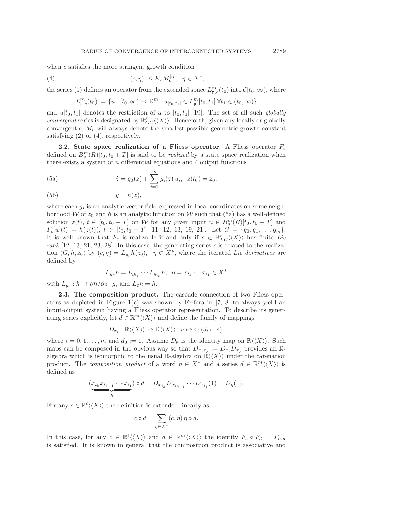when c satisfies the more stringent growth condition

(4) 
$$
|(c,\eta)| \leq K_c M_c^{|\eta|}, \quad \eta \in X^*,
$$

the series (1) defines an operator from the extended space  $L_{\mathfrak{p},e}^m(t_0)$  into  $\mathcal{C}[t_0,\infty)$ , where

$$
L_{\mathfrak{p},e}^m(t_0) := \{ u : [t_0, \infty) \to \mathbb{R}^m : u_{[t_0,t_1]} \in L_{\mathfrak{p}}^m[t_0, t_1] \; \forall t_1 \in (t_0, \infty) \}
$$

and  $u[t_0, t_1]$  denotes the restriction of u to  $[t_0, t_1]$  [19]. The set of all such *globally convergent* series is designated by  $\mathbb{R}^{\ell}_{GC} \langle \langle X \rangle \rangle$ . Henceforth, given any locally or globally convergent  $c, M_c$  will always denote the smallest possible geometric growth constant satisfying  $(2)$  or  $(4)$ , respectively.

**2.2.** State space realization of a Fliess operator. A Fliess operator  $F_c$ defined on  $B_{\mathfrak{p}}^m(R)[t_0, t_0+T]$  is said to be *realized* by a state space realization when there exists a system of n differential equations and  $\ell$  output functions

(5a) 
$$
\dot{z} = g_0(z) + \sum_{i=1}^m g_i(z) u_i, \ \ z(t_0) = z_0,
$$

$$
(5b) \t\t y = h(z),
$$

where each  $g_i$  is an analytic vector field expressed in local coordinates on some neighborhood W of  $z_0$  and h is an analytic function on W such that (5a) has a well-defined solution  $z(t), t \in [t_0, t_0 + T]$  on W for any given input  $u \in B_{\mathfrak{p}}^m(R)[t_0, t_0 + T]$  and  $F_c[u](t) = h(z(t)), t \in [t_0, t_0 + T]$  [11, 12, 13, 19, 21]. Let  $G = \{g_0, g_1, \ldots, g_m\}.$ It is well known that  $F_c$  is realizable if and only if  $c \in \mathbb{R}_{LC}^{\ell} \langle \langle X \rangle \rangle$  has finite *Lie*  $rank$  [12, 13, 21, 23, 28]. In this case, the generating series  $c$  is related to the realization  $(G, h, z_0)$  by  $(c, \eta) = L_{g_n} h(z_0), \eta \in X^*$ , where the iterated *Lie derivatives* are defined by

$$
L_{g_{\eta}}h = L_{g_{i_1}} \cdots L_{g_{i_k}}h, \ \ \eta = x_{i_k} \cdots x_{i_1} \in X^*
$$

with  $L_{q_i}: h \mapsto \partial h/\partial z \cdot g_i$  and  $L_{\emptyset}h = h$ .

**2.3. The composition product.** The cascade connection of two Fliess operators as depicted in Figure  $1(c)$  was shown by Ferfera in [7, 8] to always yield an input-output system having a Fliess operator representation. To describe its generating series explicitly, let  $d \in \mathbb{R}^m \langle \langle X \rangle \rangle$  and define the family of mappings

$$
D_{x_i} : \mathbb{R}\langle\langle X \rangle\rangle \to \mathbb{R}\langle\langle X \rangle\rangle : e \mapsto x_0(d_i \sqcup e),
$$

where  $i = 0, 1, \ldots, m$  and  $d_0 := 1$ . Assume  $D_{\emptyset}$  is the identity map on  $\mathbb{R}\langle\langle X\rangle\rangle$ . Such maps can be composed in the obvious way so that  $D_{x_ix_j} := D_{x_i}D_{x_j}$  provides an Ralgebra which is isomorphic to the usual R-algebra on  $\mathbb{R}\langle\langle X\rangle\rangle$  under the catenation product. The *composition product* of a word  $\eta \in X^*$  and a series  $d \in \mathbb{R}^m \langle \langle X \rangle \rangle$  is defined as

$$
\underbrace{(x_{i_k}x_{i_{k-1}}\cdots x_{i_1})}_{\eta} \circ d = D_{x_{i_k}}D_{x_{i_{k-1}}}\cdots D_{x_{i_1}}(1) = D_{\eta}(1).
$$

For any  $c \in \mathbb{R}^{\ell} \langle \langle X \rangle \rangle$  the definition is extended linearly as

$$
c \circ d = \sum_{\eta \in X^*} (c, \eta) \, \eta \circ d.
$$

In this case, for any  $c \in \mathbb{R}^{\ell} \langle \langle X \rangle \rangle$  and  $d \in \mathbb{R}^m \langle \langle X \rangle \rangle$  the identity  $F_c \circ F_d = F_{cod}$ is satisfied. It is known in general that the composition product is associative and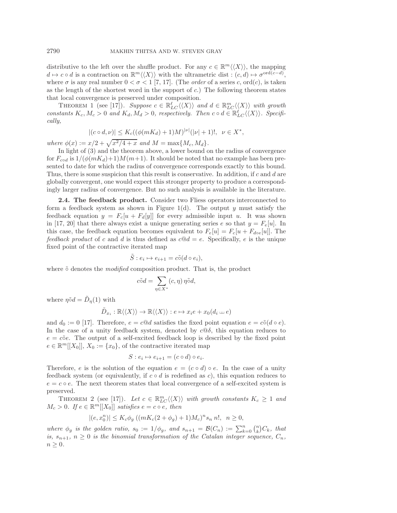distributive to the left over the shuffle product. For any  $c \in \mathbb{R}^m \langle\langle X \rangle\rangle$ , the mapping  $d \mapsto c \circ d$  is a contraction on  $\mathbb{R}^m \langle\langle X \rangle\rangle$  with the ultrametric dist :  $(c, d) \mapsto \sigma^{\text{ord}(c-d)}$ , where  $\sigma$  is any real number  $0 < \sigma < 1$  [7, 17]. (The *order* of a series c, ord(c), is taken as the length of the shortest word in the support of  $c$ .) The following theorem states that local convergence is preserved under composition.

THEOREM 1 (see [17]). Suppose  $c \in \mathbb{R}_{LC}^{\ell} \langle \langle X \rangle \rangle$  and  $d \in \mathbb{R}_{LC}^m \langle \langle X \rangle \rangle$  with growth *constants*  $K_c$ ,  $M_c > 0$  *and*  $K_d$ ,  $M_d > 0$ , respectively. Then  $c \circ d \in \mathbb{R}_{LC}^{\ell} \langle \langle X \rangle \rangle$ . Specifi*cally,*

$$
|(c \circ d, \nu)| \le K_c((\phi(mK_d) + 1)M)^{|\nu|}(|\nu| + 1)!, \ \nu \in X^*,
$$

*where*  $\phi(x) := x/2 + \sqrt{x^2/4 + x}$  *and*  $M = \max\{M_c, M_d\}.$ 

In light of (3) and the theorem above, a lower bound on the radius of convergence for  $F_{cod}$  is  $1/(\phi(mK_d)+1)M(m+1)$ . It should be noted that no example has been presented to date for which the radius of convergence corresponds exactly to this bound. Thus, there is some suspicion that this result is conservative. In addition, if  $c$  and  $d$  are globally convergent, one would expect this stronger property to produce a correspondingly larger radius of convergence. But no such analysis is available in the literature.

**2.4. The feedback product.** Consider two Fliess operators interconnected to form a feedback system as shown in Figure 1(d). The output y must satisfy the feedback equation  $y = F_c[u + F_d[y]]$  for every admissible input u. It was shown in [17, 20] that there always exist a unique generating series e so that  $y = F_e[u]$ . In this case, the feedback equation becomes equivalent to  $F_e[u] = F_c[u + F_{doe}[u]]$ . The *feedback product* of c and d is thus defined as  $c@d = e$ . Specifically, e is the unique fixed point of the contractive iterated map

$$
\tilde{S}: e_i \mapsto e_{i+1} = c \tilde{\circ} (d \circ e_i),
$$

where  $\tilde{\circ}$  denotes the *modified* composition product. That is, the product

$$
c\tilde{\circ}d = \sum_{\eta \in X^*} (c, \eta) \eta \tilde{\circ} d,
$$

where  $\eta \tilde{\circ} d = \tilde{D}_{\eta}(1)$  with

$$
\tilde{D}_{x_i} : \mathbb{R} \langle \langle X \rangle \rangle \to \mathbb{R} \langle \langle X \rangle \rangle : e \mapsto x_i e + x_0 (d_i \sqcup e)
$$

and  $d_0 := 0$  [17]. Therefore,  $e = c@d$  satisfies the fixed point equation  $e = c\tilde{\circ}(d\circ e)$ . In the case of a unity feedback system, denoted by  $c\mathcal{Q}\delta$ , this equation reduces to  $e = c\tilde{\mathrm{o}}e$ . The output of a self-excited feedback loop is described by the fixed point  $e \in \mathbb{R}^m[[X_0]], X_0 := \{x_0\},$  of the contractive iterated map

$$
S: e_i \mapsto e_{i+1} = (c \circ d) \circ e_i.
$$

Therefore, e is the solution of the equation  $e = (c \circ d) \circ e$ . In the case of a unity feedback system (or equivalently, if  $c \circ d$  is redefined as c), this equation reduces to  $e = c \circ e$ . The next theorem states that local convergence of a self-excited system is preserved.

THEOREM 2 (see [17]). Let  $c \in \mathbb{R}_{LC}^m \langle \langle X \rangle \rangle$  with growth constants  $K_c \geq 1$  and  $M_c > 0$ *. If*  $e \in \mathbb{R}^m[[X_0]]$  *satisfies*  $e = c \circ e$ *, then* 

$$
|(e, x_0^n)| \le K_c \phi_g ((mK_c(2+\phi_g)+1)M_c)^n s_n n!, \ \ n \ge 0,
$$

where  $\phi_g$  *is the golden ratio,*  $s_0 := 1/\phi_g$ , and  $s_{n+1} = \mathcal{B}(C_n) := \sum_{k=0}^n {n \choose k} C_k$ , that *is,*  $s_{n+1}$ ,  $n \geq 0$  *is the binomial transformation of the Catalan integer sequence,*  $C_n$ ,  $n \geq 0$ .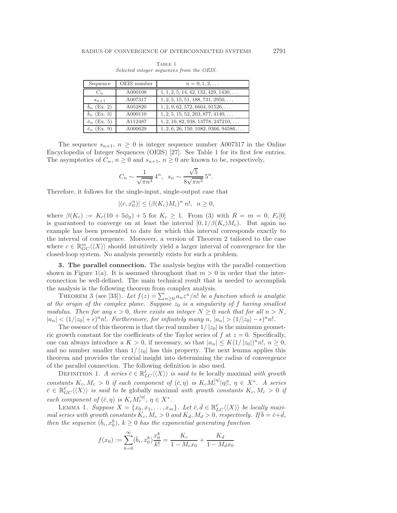|                                           | TABLE 1 |  |  |
|-------------------------------------------|---------|--|--|
| Selected integer sequences from the OEIS. |         |  |  |

| Sequence            | OEIS number | $n = 0, 1, 2, \ldots$                         |
|---------------------|-------------|-----------------------------------------------|
| $C_n$               | A000108     | $1, 1, 2, 5, 14, 42, 132, 429, 1430, \ldots$  |
| $s_{n+1}$           | A007317     | $1, 2, 5, 15, 51, 188, 731, 2950, \ldots$     |
| $b_n$ (Ex. 2)       | A052820     | $1, 2, 9, 62, 572, 6604, 91526, \ldots$       |
| $b_n$ (Ex. 3)       | A000110     | $1, 2, 5, 15, 52, 203, 877, 4140, \ldots$     |
| $\bar{e}_n$ (Ex. 5) | A112487     | $1, 2, 10, 82, 938, 13778, 247210, \ldots$    |
| $\bar{e}_n$ (Ex. 9) | A000629     | $1, 2, 6, 26, 150, 1082, 9366, 94586, \ldots$ |

The sequence  $s_{n+1}$ ,  $n \geq 0$  is integer sequence number A007317 in the Online Encyclopedia of Integer Sequences (OEIS) [27]. See Table 1 for its first few entries. The asymptotics of  $C_n$ ,  $n \geq 0$  and  $s_{n+1}$ ,  $n \geq 0$  are known to be, respectively,

$$
C_n \sim \frac{1}{\sqrt{\pi n^3}} 4^n
$$
,  $s_n \sim \frac{\sqrt{5}}{8\sqrt{\pi n^3}} 5^n$ .

Therefore, it follows for the single-input, single-output case that

$$
|(e, x_0^n)| \le (\beta(K_c)M_c)^n n!, \ \ n \ge 0,
$$

where  $\beta(K_c) := K_c(10 + 5\phi_g) + 5$  for  $K_c \geq 1$ . From (3) with  $R = m = 0$ ,  $F_e[0]$ is guaranteed to converge on at least the interval  $[0, 1/\beta(K_c)M_c)$ . But again no example has been presented to date for which this interval corresponds exactly to the interval of convergence. Moreover, a version of Theorem 2 tailored to the case where  $c \in \mathbb{R}_{GC}^m \langle \langle X \rangle \rangle$  should intuitively yield a larger interval of convergence for the closed-loop system. No analysis presently exists for such a problem.

**3. The parallel connection.** The analysis begins with the parallel connection shown in Figure 1(a). It is assumed throughout that  $m > 0$  in order that the interconnection be well-defined. The main technical result that is needed to accomplish the analysis is the following theorem from complex analysis.

THEOREM 3 (see [33]). Let  $f(z) = \sum_{n\geq 0} a_n z^n/n!$  be a function which is analytic *at the origin of the complex plane. Suppose* z<sup>0</sup> *is a singularity of* f *having smallest modulus. Then for any*  $\epsilon > 0$ *, there exists an integer*  $N \geq 0$  *such that for all*  $n > N$ *,*  $|a_n| < (1/|z_0| + \epsilon)^n n!$ . Furthermore, for infinitely many  $n, |a_n| > (1/|z_0| - \epsilon)^n n!$ .

The essence of this theorem is that the real number  $1/|z_0|$  is the minimum geometric growth constant for the coefficients of the Taylor series of f at  $z = 0$ . Specifically, one can always introduce a  $K > 0$ , if necessary, so that  $|a_n| \leq K(1/|z_0|)^n n!$ ,  $n \geq 0$ , and no number smaller than  $1/|z_0|$  has this property. The next lemma applies this theorem and provides the crucial insight into determining the radius of convergence of the parallel connection. The following definition is also used.

DEFINITION 1. *A series*  $\bar{c} \in \mathbb{R}_{LC}^{\ell} \langle \langle X \rangle \rangle$  *is said to be* locally maximal *with growth constants*  $K_c$ ,  $M_c > 0$  *if each component of*  $(\bar{c}, \eta)$  *is*  $K_c M_c^{|\eta|} |\eta|!$ ,  $\eta \in X^*$ . A series  $\bar{c} \in \mathbb{R}_{GC}^{\ell} \langle \langle X \rangle \rangle$  is said to be globally maximal *with growth constants*  $K_c, M_c > 0$  *if each component of*  $(\bar{c}, \eta)$  *is*  $K_c M_c^{|\eta|}$ ,  $\eta \in X^*$ .

LEMMA 1. *Suppose*  $X = \{x_0, x_1, \ldots, x_m\}$ . Let  $\bar{c}, \bar{d} \in \mathbb{R}_{LC}^{\ell} \langle \langle X \rangle \rangle$  be locally maxi*mal series with growth constants*  $K_c$ ,  $M_c > 0$  *and*  $K_d$ ,  $M_d > 0$ , respectively. If  $\bar{b} = \bar{c} + \bar{d}$ , *then the sequence*  $(\bar{b}_i, x_0^k)$ ,  $k \geq 0$  *has the exponential generating function* 

$$
f(x_0) := \sum_{k=0}^{\infty} (\bar{b}_i, x_0^k) \frac{x_0^k}{k!} = \frac{K_c}{1 - M_c x_0} + \frac{K_d}{1 - M_d x_0}
$$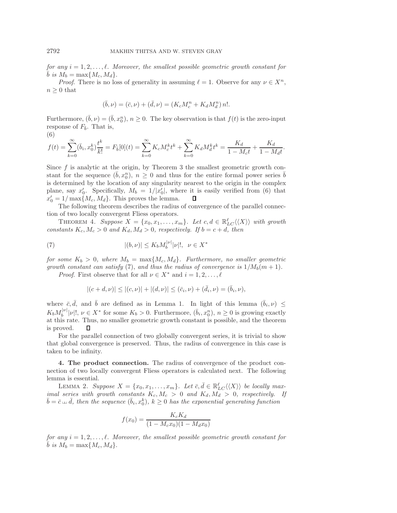*for any*  $i = 1, 2, ..., \ell$ . Moreover, the smallest possible geometric growth constant for  $\overline{b}$  *is*  $M_b = \max\{M_c, M_d\}$ .

*Proof.* There is no loss of generality in assuming  $\ell = 1$ . Observe for any  $\nu \in X^n$ ,  $n \geq 0$  that

$$
(\bar{b}, \nu) = (\bar{c}, \nu) + (\bar{d}, \nu) = (K_c M_c^n + K_d M_d^n) n!.
$$

Furthermore,  $(\bar{b}, \nu) = (\bar{b}, x_0^n)$ ,  $n \geq 0$ . The key observation is that  $f(t)$  is the zero-input response of  $F_{\bar{b}}$ . That is,

(6)

$$
f(t) = \sum_{k=0}^{\infty} (\bar{b}_i, x_0^k) \frac{t^k}{k!} = F_{\bar{b}}[0](t) = \sum_{k=0}^{\infty} K_c M_c^k t^k + \sum_{k=0}^{\infty} K_d M_d^k t^k = \frac{K_d}{1 - M_c t} + \frac{K_d}{1 - M_d t}.
$$

Since  $f$  is analytic at the origin, by Theorem 3 the smallest geometric growth constant for the sequence  $(\bar{b}, x_0^n)$ ,  $n \geq 0$  and thus for the entire formal power series  $\bar{b}$ is determined by the location of any singularity nearest to the origin in the complex plane, say  $x'_0$ . Specifically,  $M_b = 1/|x'_0|$ , where it is easily verified from (6) that  $x'_0 = 1/\max\{M_c, M_d\}.$  This proves the lemma. □

The following theorem describes the radius of convergence of the parallel connection of two locally convergent Fliess operators.

THEOREM 4. *Suppose*  $X = \{x_0, x_1, \ldots, x_m\}$ . Let  $c, d \in \mathbb{R}_{LC}^{\ell} \langle \langle X \rangle \rangle$  with growth *constants*  $K_c$ ,  $M_c > 0$  *and*  $K_d$ ,  $M_d > 0$ , *respectively.* If  $b = c + d$ , then

(7) 
$$
|(b,\nu)| \le K_b M_b^{|\nu|} |\nu|!, \ \ \nu \in X^*
$$

*for some*  $K_b > 0$ , where  $M_b = \max\{M_c, M_d\}$ . Furthermore, no smaller geometric *growth constant can satisfy* (7), and thus the radius of convergence is  $1/M_b(m+1)$ *.* 

*Proof.* First observe that for all  $\nu \in X^*$  and  $i = 1, 2, \ldots, \ell$ 

$$
|(c+d,\nu)| \le |(c,\nu)| + |(d,\nu)| \le (\bar{c}_i,\nu) + (\bar{d}_i,\nu) = (\bar{b}_i,\nu),
$$

where  $\bar{c}, \bar{d},$  and  $\bar{b}$  are defined as in Lemma 1. In light of this lemma  $(\bar{b}_i, \nu) \leq$  $K_b M_b^{|\nu|}|\nu|!$ ,  $\nu \in X^*$  for some  $K_b > 0$ . Furthermore,  $(\bar{b}_i, x_0^n)$ ,  $n \geq 0$  is growing exactly at this rate. Thus, no smaller geometric growth constant is possible, and the theorem is proved. □

For the parallel connection of two globally convergent series, it is trivial to show that global convergence is preserved. Thus, the radius of convergence in this case is taken to be infinity.

**4. The product connection.** The radius of convergence of the product connection of two locally convergent Fliess operators is calculated next. The following lemma is essential.

LEMMA 2. Suppose  $X = \{x_0, x_1, \ldots, x_m\}$ . Let  $\bar{c}, \bar{d} \in \mathbb{R}_{LC}^{\ell} \langle \langle X \rangle \rangle$  be locally max*imal series with growth constants*  $K_c, M_c > 0$  *and*  $K_d, M_d > 0$ , respectively. If  $\overline{d}$ , then the sequence  $(\overline{b}_i, x_0^k)$ ,  $k \geq 0$  has the exponential generating function

$$
f(x_0) = \frac{K_c K_d}{(1 - M_c x_0)(1 - M_d x_0)}
$$

*for any*  $i = 1, 2, ..., \ell$ . Moreover, the smallest possible geometric growth constant for  $\overline{b}$  *is*  $M_b = \max\{M_c, M_d\}$ .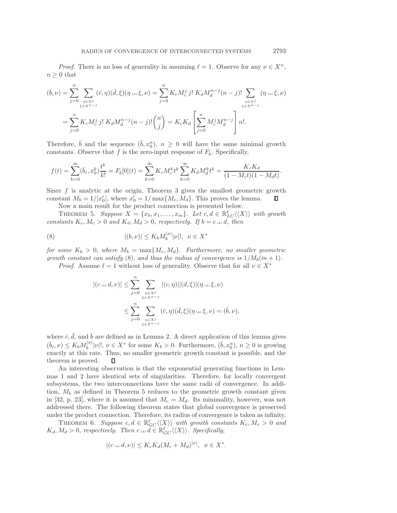*Proof.* There is no loss of generality in assuming  $\ell = 1$ . Observe for any  $\nu \in X^n$ ,  $n \geq 0$  that

$$
(\bar{b}, \nu) = \sum_{j=0}^{n} \sum_{\substack{n \in X^j \\ \xi \in X^{n-j}}} (\bar{c}, \eta)(\bar{d}, \xi)(\eta \dots \xi, \nu) = \sum_{j=0}^{n} K_c M_c^j j! K_d M_d^{n-j} (n-j)! \sum_{\substack{n \in X^j \\ \xi \in X^{n-j}}} (\eta \dots \xi, \nu)
$$

$$
= \sum_{j=0}^{n} K_c M_c^j j! K_d M_d^{n-j} (n-j)! {n \choose j} = K_c K_d \left[ \sum_{j=0}^{n} M_c^j M_d^{n-j} \right] n!.
$$

Therefore,  $\bar{b}$  and the sequence  $(\bar{b}, x_0^n)$ ,  $n \geq 0$  will have the same minimal growth constants. Observe that f is the zero-input response of  $F_{\bar{b}}$ . Specifically,

$$
f(t) = \sum_{k=0}^{\infty} (\bar{b}_i, x_0^k) \frac{t^k}{k!} = F_{\bar{b}}[0](t) = \sum_{k=0}^{\infty} K_c M_c^k t^k \sum_{k=0}^{\infty} K_d M_d^k t^k = \frac{K_c K_d}{(1 - M_c t)(1 - M_d t)}.
$$

Since  $f$  is analytic at the origin, Theorem 3 gives the smallest geometric growth constant  $M_b = 1/|x'_0|$ , where  $x'_0 = 1/\max\{M_c, M_d\}$ . This proves the lemma. □

Now a main result for the product connection is presented below.

THEOREM 5. Suppose  $X = \{x_0, x_1, \ldots, x_m\}$ . Let  $c, d \in \mathbb{R}_{LC}^{\ell} \langle \langle X \rangle \rangle$  with growth *constants*  $K_c$ ,  $M_c > 0$  *and*  $K_d$ ,  $M_d > 0$ , *respectively.* If  $b = c \sqcup d$ , *then* 

(8) 
$$
|(b,\nu)| \le K_b M_b^{|\nu|} |\nu|!, \ \ \nu \in X^*
$$

*for some*  $K_b > 0$ , where  $M_b = \max\{M_c, M_d\}$ . Furthermore, no smaller geometric *growth constant can satisfy* (8), and thus the radius of convergence is  $1/M_b(m+1)$ .

*Proof.* Assume  $\ell = 1$  without loss of generality. Observe that for all  $\nu \in X^*$ 

$$
|(c \sqcup d, \nu)| \leq \sum_{j=0}^{n} \sum_{\substack{\eta \in X^j \\ \xi \in X^{n-j}}} |(c, \eta)| |(d, \xi)| (\eta \sqcup \xi, \nu)
$$
  

$$
\leq \sum_{j=0}^{n} \sum_{\substack{\eta \in X^j \\ \xi \in X^{n-j}}} (\bar{c}, \eta)(\bar{d}, \xi)(\eta \sqcup \xi, \nu) = (\bar{b}, \nu),
$$

where  $\bar{c}$ ,  $\bar{d}$ , and  $\bar{b}$  are defined as in Lemma 2. A direct application of this lemma gives  $(\bar{b}_i, \nu) \leq K_b M_b^{|\nu|} |\nu|!$ ,  $\nu \in X^*$  for some  $K_b > 0$ . Furthermore,  $(\bar{b}, x_0^n)$ ,  $n \geq 0$  is growing exactly at this rate. Thus, no smaller geometric growth constant is possible, and the theorem is proved. □

An interesting observation is that the exponential generating functions in Lemmas 1 and 2 have identical sets of singularities. Therefore, for locally convergent subsystems, the two interconnections have the same radii of convergence. In addition,  $M_b$  as defined in Theorem 5 reduces to the geometric growth constant given in [32, p. 23], where it is assumed that  $M_c = M_d$ . Its minimality, however, was not addressed there. The following theorem states that global convergence is preserved under the product connection. Therefore, its radius of convergence is taken as infinity.

THEOREM 6. Suppose  $c, d \in \mathbb{R}_{GC}^{\ell} \langle \langle X \rangle \rangle$  with growth constants  $K_c, M_c > 0$  and  $K_d, M_d > 0$ , respectively. Then  $c \sqcup d \in \mathbb{R}_{GC}^{\ell} \langle \langle X \rangle \rangle$ . Specifically,

$$
|(c \sqcup d, \nu)| \leq K_c K_d (M_c + M_d)^{|\nu|}, \ \nu \in X^*.
$$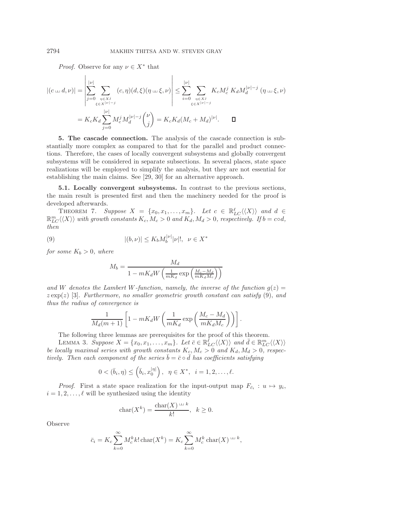*Proof.* Observe for any  $\nu \in X^*$  that

$$
|(c \sqcup d, \nu)| = \left| \sum_{j=0}^{|\nu|} \sum_{\substack{\eta \in X^j \\ \xi \in X^{|\nu|-j}}} (c, \eta)(d, \xi)(\eta \sqcup \xi, \nu) \right| \leq \sum_{i=0}^{|\nu|} \sum_{\substack{\eta \in X^j \\ \xi \in X^{|\nu|-j}}} K_c M_c^j K_d M_d^{|\nu|-j} (\eta \sqcup \xi, \nu)
$$
  
=  $K_c K_d \sum_{j=0}^{|\nu|} M_c^j M_d^{|\nu|-j} {\nu \choose j} = K_c K_d (M_c + M_d)^{|\nu|}.$ 

**5. The cascade connection.** The analysis of the cascade connection is substantially more complex as compared to that for the parallel and product connections. Therefore, the cases of locally convergent subsystems and globally convergent subsystems will be considered in separate subsections. In several places, state space realizations will be employed to simplify the analysis, but they are not essential for establishing the main claims. See [29, 30] for an alternative approach.

**5.1. Locally convergent subsystems.** In contrast to the previous sections, the main result is presented first and then the machinery needed for the proof is developed afterwards.

THEOREM 7. *Suppose*  $X = \{x_0, x_1, \ldots, x_m\}$ . Let  $c \in \mathbb{R}_{LC}^{\ell} \langle \langle X \rangle \rangle$  and  $d \in \mathbb{R}_{LC}^m \langle \langle X \rangle \rangle$  with growth constants  $K_c, M_c > 0$  and  $K_d, M_d > 0$ , respectively. If  $b = cod$ , *then*

(9) 
$$
|(b,\nu)| \le K_b M_b^{|\nu|} |\nu|!, \ \ \nu \in X^*
$$

*for some*  $K_b > 0$ *, where* 

$$
M_b = \frac{M_d}{1 - mK_dW\left(\frac{1}{mK_d}\exp\left(\frac{M_c - M_d}{mK_dM_c}\right)\right)}
$$

and W denotes the Lambert W-function, namely, the inverse of the function  $g(z)$  $z \exp(z)$  [3]. *Furthermore, no smaller geometric growth constant can satisfy* (9), *and thus the radius of convergence is*

$$
\frac{1}{M_d(m+1)} \left[ 1 - mK_d W \left( \frac{1}{mK_d} \exp\left( \frac{M_c - M_d}{mK_d M_c} \right) \right) \right].
$$

The following three lemmas are prerequisites for the proof of this theorem.

LEMMA 3. Suppose  $X = \{x_0, x_1, \ldots, x_m\}$ . Let  $\bar{c} \in \mathbb{R}_{LC}^{\bar{\ell}} \langle \langle X \rangle \rangle$  and  $\bar{d} \in \mathbb{R}_{LC}^m \langle \langle X \rangle \rangle$ *be locally maximal series with growth constants*  $K_c$ ,  $M_c > 0$  *and*  $K_d$ ,  $M_d > 0$ , respec*tively.* Then each component of the series  $\bar{b} = \bar{c} \circ \bar{d}$  has coefficients satisfying

$$
0 < (\bar{b}_i, \eta) \leq (\bar{b}_i, x_0^{|\eta|}), \ \ \eta \in X^*, \ \ i = 1, 2, \dots, \ell.
$$

*Proof.* First a state space realization for the input-output map  $F_{\bar{c}_i}$  :  $u \mapsto y_i$ ,  $i = 1, 2, \ldots, \ell$  will be synthesized using the identity

$$
char(X^k) = \frac{char(X) \cdots k}{k!}, \quad k \ge 0.
$$

Observe

$$
\bar{c}_i = K_c \sum_{k=0}^{\infty} M_c^k k! \operatorname{char}(X^k) = K_c \sum_{k=0}^{\infty} M_c^k \operatorname{char}(X)^{\perp k},
$$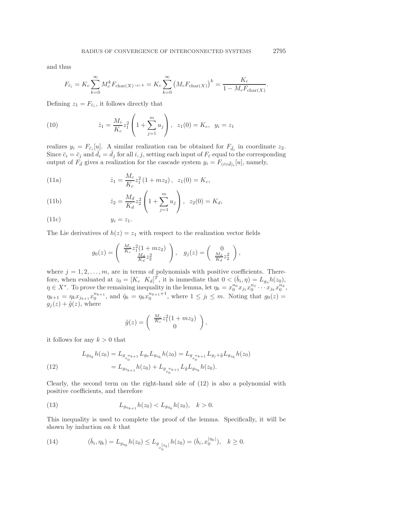and thus

$$
F_{\bar{c}_i} = K_c \sum_{k=0}^{\infty} M_c^k F_{\text{char}(X)} \sqcup \iota_k = K_c \sum_{k=0}^{\infty} (M_c F_{\text{char}(X)})^k = \frac{K_c}{1 - M_c F_{\text{char}(X)}}
$$

Defining  $z_1 = F_{\bar{c}_i}$ , it follows directly that

(10) 
$$
\dot{z}_1 = \frac{M_c}{K_c} z_1^2 \left( 1 + \sum_{j=1}^m u_j \right), \ \ z_1(0) = K_c, \ \ y_i = z_1
$$

realizes  $y_i = F_{\bar{c}_i}[u]$ . A similar realization can be obtained for  $F_{\bar{d}_i}$  in coordinate  $z_2$ . Since  $\bar{c}_i = \bar{c}_j$  and  $\bar{d}_i = \bar{d}_j$  for all i, j, setting each input of  $F_{\bar{c}}$  equal to the corresponding output of  $F_{\bar{d}}$  gives a realization for the cascade system  $y_i = F_{(\bar{c} \circ \bar{d})_i}[u]$ , namely,

(11a) 
$$
\dot{z}_1 = \frac{M_c}{K_c} z_1^2 (1 + mz_2), \ \ z_1(0) = K_c,
$$

(11b) 
$$
\dot{z}_2 = \frac{M_d}{K_d} z_2^2 \left( 1 + \sum_{j=1}^m u_j \right), \ \ z_2(0) = K_d,
$$

$$
(11c) \t\t y_i = z_1.
$$

The Lie derivatives of  $h(z) = z_1$  with respect to the realization vector fields

$$
g_0(z) = \begin{pmatrix} \frac{M_c}{K_c} z_1^2 (1 + mz_2) \\ \frac{M_d}{K_d} z_2^2 \end{pmatrix}, \quad g_j(z) = \begin{pmatrix} 0 \\ \frac{M_d}{K_d} z_2^2 \end{pmatrix},
$$

where  $j = 1, 2, \ldots, m$ , are in terms of polynomials with positive coefficients. Therefore, when evaluated at  $z_0 = [K_c \ K_d]^T$ , it is immediate that  $0 < (\bar{b}_i, \eta) = L_{g_n} h(z_0)$ ,  $\eta \in X^*$ . To prove the remaining inequality in the lemma, let  $\eta_k = x_0^{n_0} x_{j_1} x_0^{n_1} \cdots x_{j_k} x_0^{n_k}$ ,  $\eta_{k+1} = \eta_k x_{j_{k+1}} x_0^{n_{k+1}}$ , and  $\tilde{\eta}_k = \eta_k x_0^{n_{k+1}+1}$ , where  $1 \leq j_l \leq m$ . Noting that  $g_0(z) =$  $g_j(z)+\tilde{g}(z)$ , where

$$
\tilde{g}(z) = \begin{pmatrix} \frac{M_c}{K_c} z_1^2 (1 + mz_2) \\ 0 \end{pmatrix},
$$

it follows for any  $k > 0$  that

(12) 
$$
L_{g_{\tilde{\eta}_k}} h(z_0) = L_{g_{x_0^{n_k+1}}} L_{g_0} L_{g_{\eta_k}} h(z_0) = L_{g_{x_0^{n_k+1}}} L_{g_j + \tilde{g}} L_{g_{\eta_k}} h(z_0)
$$

$$
= L_{g_{\eta_{k+1}}} h(z_0) + L_{g_{x_0^{n_k+1}}} L_{\tilde{g}} L_{g_{\eta_k}} h(z_0).
$$

Clearly, the second term on the right-hand side of  $(12)$  is also a polynomial with positive coefficients, and therefore

(13) 
$$
L_{g_{\eta_{k+1}}}h(z_0) < L_{g_{\tilde{\eta}_k}}h(z_0), \quad k > 0.
$$

This inequality is used to complete the proof of the lemma. Specifically, it will be shown by induction on  $k$  that

(14) 
$$
(\bar{b}_i, \eta_k) = L_{g_{\eta_k}} h(z_0) \le L_{g_{\eta_k}|\eta_k|} h(z_0) = (\bar{b}_i, x_0^{|\eta_k|}), \quad k \ge 0.
$$

.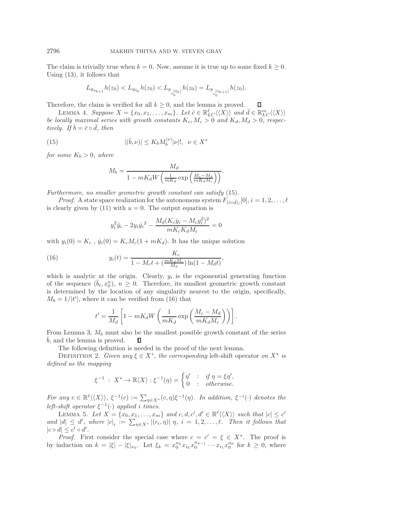The claim is trivially true when  $k = 0$ . Now, assume it is true up to some fixed  $k \geq 0$ . Using (13), it follows that

$$
L_{g_{\eta_{k+1}}}h(z_0) < L_{g_{\tilde{\eta}_{k}}}h(z_0) < L_{g_{\eta_{\tilde{b}}\tilde{\eta}_{k}}}|h(z_0) = L_{g_{\eta_{0}^{|\eta_{k+1}|}}h(z_0).
$$

Therefore, the claim is verified for all  $k \geq 0$ , and the lemma is proved. □

LEMMA 4. Suppose  $X = \{x_0, x_1, \ldots, x_m\}$ . Let  $\bar{c} \in \mathbb{R}_{LC}^{\ell} \langle \langle X \rangle \rangle$  and  $\bar{d} \in \mathbb{R}_{LC}^m \langle \langle X \rangle \rangle$ *be locally maximal series with growth constants*  $K_c$ ,  $M_c > 0$  *and*  $K_d$ ,  $M_d > 0$ , respec*tively.* If  $\bar{b} = \bar{c} \circ \bar{d}$ , then

(15) 
$$
|(\bar{b}, \nu)| \le K_b M_b^{|\nu|} |\nu|!, \ \ \nu \in X^*
$$

*for some*  $K_b > 0$ *, where* 

$$
M_b = \frac{M_d}{1 - mK_dW\left(\frac{1}{mK_d}\exp\left(\frac{M_c - M_d}{mK_dM_c}\right)\right)}.
$$

*Furthermore, no smaller geometric growth constant can satisfy* (15).

*Proof.* A state space realization for the autonomous system  $F_{(\bar{c} \circ \bar{d})_i}[0], i = 1, 2, \ldots, \ell$ is clearly given by (11) with  $u = 0$ . The output equation is

$$
y_i^2 \ddot{y}_i - 2 y_i \dot{y_i}^2 - \frac{M_d (K_c \dot{y}_i - M_c y_i^2)^2}{m K_c K_d M_c} = 0
$$

with  $y_i(0) = K_c$ ,  $\dot{y}_i(0) = K_c M_c (1 + mK_d)$ . It has the unique solution

(16) 
$$
y_i(t) = \frac{K_c}{1 - M_c t + (\frac{mK_dM_c}{M_d})\ln(1 - M_d t)},
$$

which is analytic at the origin. Clearly,  $y_i$  is the exponential generating function of the sequence  $(\bar{b}_i, x_0^n)$ ,  $n \geq 0$ . Therefore, its smallest geometric growth constant is determined by the location of any singularity nearest to the origin, specifically,  $M_b = 1/|t'|$ , where it can be verified from (16) that

$$
t' = \frac{1}{M_d} \left[ 1 - mK_d W \left( \frac{1}{mK_d} \exp\left( \frac{M_c - M_d}{mK_d M_c} \right) \right) \right].
$$

From Lemma 3,  $M_b$  must also be the smallest possible growth constant of the series  $\bar{b}$ , and the lemma is proved.  $\square$ □

The following definition is needed in the proof of the next lemma.

DEFINITION 2. *Given any*  $\xi \in X^*$ *, the corresponding* left-shift operator *on*  $X^*$  *is defined as the mapping*

$$
\xi^{-1} : X^* \to \mathbb{R}\langle X \rangle : \xi^{-1}(\eta) = \begin{cases} \eta' & \colon & \text{if } \eta = \xi \eta', \\ 0 & \colon & \text{otherwise.} \end{cases}
$$

*For any*  $c \in \mathbb{R}^{\ell} \langle \langle X \rangle \rangle$ ,  $\xi^{-1}(c) := \sum_{\eta \in X^*} (c, \eta) \xi^{-1}(\eta)$ . In addition,  $\xi^{-i}(\cdot)$  denotes the *left-shift operator*  $\xi^{-1}(\cdot)$  *applied i times.* 

LEMMA 5. Let  $X = \{x_0, x_1, \ldots, x_m\}$  and  $c, d, c', d' \in \mathbb{R}^{\ell} \langle \langle X \rangle \rangle$  such that  $|c| \leq c'$ *and*  $|d| \leq d'$ , where  $|c|_i := \sum_{\eta \in X^*} |(c_i, \eta)| \eta$ ,  $i = 1, 2, \ldots, \ell$ . Then it follows that  $|c \circ d| \leq c' \circ d'.$ 

*Proof.* First consider the special case where  $c = c' = \xi \in X^*$ . The proof is by induction on  $k = |\xi| - |\xi|_{x_0}$ . Let  $\xi_k = x_0^{n_k} x_{i_k} x_0^{n_{k-1}} \cdots x_{i_1} x_0^{n_0}$  for  $k \geq 0$ , where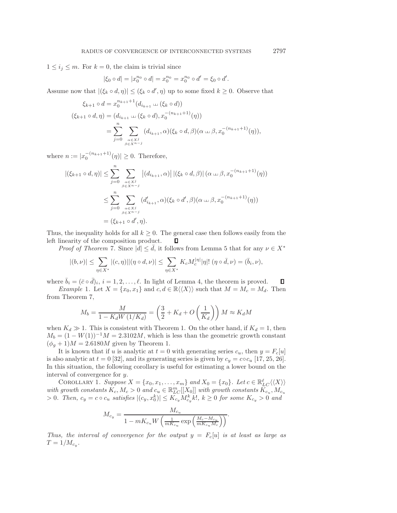$1 \leq i_j \leq m$ . For  $k = 0$ , the claim is trivial since

$$
|\xi_0 \circ d| = |x_0^{n_0} \circ d| = x_0^{n_0} = x_0^{n_0} \circ d' = \xi_0 \circ d'.
$$

Assume now that  $|(\xi_k \circ d, \eta)| \leq (\xi_k \circ d', \eta)$  up to some fixed  $k \geq 0$ . Observe that

$$
\xi_{k+1} \circ d = x_0^{n_{k+1}+1} (d_{i_{k+1}} \sqcup (\xi_k \circ d))
$$
  

$$
(\xi_{k+1} \circ d, \eta) = (d_{i_{k+1}} \sqcup (\xi_k \circ d), x_0^{-(n_{k+1}+1)}(\eta))
$$
  

$$
= \sum_{j=0}^n \sum_{\substack{\alpha \in x^j \\ \beta \in x^{n-j}}} (d_{i_{k+1}}, \alpha)(\xi_k \circ d, \beta)(\alpha \sqcup \beta, x_0^{-(n_{k+1}+1)}(\eta)),
$$

where  $n := |x_0^{-(n_{k+1}+1)}(\eta)| \ge 0$ . Therefore,

$$
|(\xi_{k+1} \circ d, \eta)| \leq \sum_{j=0}^{n} \sum_{\substack{\alpha \in X^{j} \\ \beta \in X^{n-j}}} |(d_{i_{k+1}}, \alpha)| |(\xi_{k} \circ d, \beta)| (\alpha \perp \beta, x_{0}^{-(n_{k+1}+1)}(\eta))
$$
  

$$
\leq \sum_{j=0}^{n} \sum_{\substack{\alpha \in X^{j} \\ \beta \in X^{n-j}}} (d'_{i_{k+1}}, \alpha)(\xi_{k} \circ d', \beta)(\alpha \perp \beta, x_{0}^{-(n_{k+1}+1)}(\eta))
$$
  

$$
= (\xi_{k+1} \circ d', \eta).
$$

Thus, the inequality holds for all  $k \geq 0$ . The general case then follows easily from the left linearity of the composition product. □

*Proof of Theorem* 7. Since  $|\bar{d}| \leq \bar{d}$ , it follows from Lemma 5 that for any  $\nu \in X^*$ 

$$
|(b,\nu)| \leq \sum_{\eta \in X^*} |(c,\eta)| |(\eta \circ d,\nu)| \leq \sum_{\eta \in X^*} K_c M_c^{|\eta|} |\eta|! (\eta \circ \bar{d},\nu) = (\bar{b}_i,\nu),
$$

where  $\bar{b}_i = (\bar{c} \circ \bar{d})_i$ ,  $i = 1, 2, \ldots, \ell$ . In light of Lemma 4, the theorem is proved. □

*Example* 1. Let  $X = \{x_0, x_1\}$  and  $c, d \in \mathbb{R}\langle\langle X \rangle\rangle$  such that  $M = M_c = M_d$ . Then from Theorem 7,

$$
M_b = \frac{M}{1 - K_d W \left(1/K_d\right)} = \left(\frac{3}{2} + K_d + O\left(\frac{1}{K_d}\right)\right) M \approx K_d M
$$

when  $K_d \gg 1$ . This is consistent with Theorem 1. On the other hand, if  $K_d = 1$ , then  $M_b = (1 - W(1))^{-1}M = 2.3102M$ , which is less than the geometric growth constant  $(\phi_g + 1)M = 2.6180M$  given by Theorem 1.

It is known that if u is analytic at  $t = 0$  with generating series  $c_u$ , then  $y = F_c[u]$ is also analytic at  $t = 0$  [32], and its generating series is given by  $c_y = c \circ c_u$  [17, 25, 26]. In this situation, the following corollary is useful for estimating a lower bound on the interval of convergence for y.

COROLLARY 1. *Suppose*  $X = \{x_0, x_1, \ldots, x_m\}$  and  $X_0 = \{x_0\}$ . Let  $c \in \mathbb{R}_{LC}^{\ell} \langle \langle X \rangle \rangle$ with growth constants  $K_c$ ,  $M_c > 0$  and  $c_u \in \mathbb{R}_{LC}^m[[X_0]]$  with growth constants  $\widetilde{K_{c_u}}$ ,  $M_{c_u}$  $> 0$ . Then,  $c_y = c \circ c_u$  satisfies  $|(c_y, x_0^k)| \leq K_{c_y} M_{c_y}^k k!$ ,  $k \geq 0$  for some  $K_{c_y} > 0$  and

$$
M_{c_y} = \frac{M_{c_u}}{1 - mK_{c_u}W\left(\frac{1}{mK_{c_u}}\exp\left(\frac{M_c - M_{c_u}}{mK_{c_u}M_c}\right)\right)}.
$$

*Thus, the interval of convergence for the output*  $y = F_c[u]$  *is at least as large as*  $T = 1/M_{c_u}$ .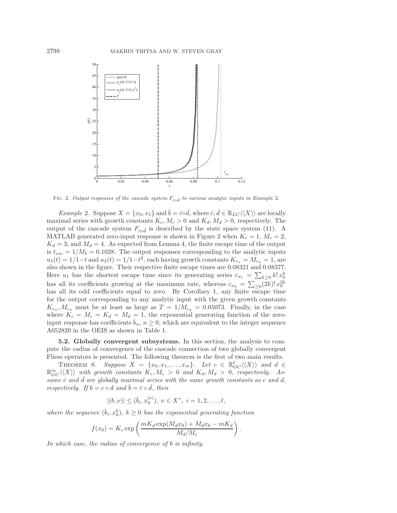

FIG. 2. Output responses of the cascade system  $F_{\bar{c} \circ \bar{d}}$  to various analytic inputs in Example 2.

*Example* 2. Suppose  $X = \{x_0, x_1\}$  and  $\overline{b} = \overline{c} \circ \overline{d}$ , where  $\overline{c}, \overline{d} \in \mathbb{R}_{LC} \langle \langle X \rangle \rangle$  are locally maximal series with growth constants  $K_c, M_c > 0$  and  $K_d, M_d > 0$ , respectively. The output of the cascade system  $F_{\bar{c} \circ \bar{d}}$  is described by the state space system (11). A MATLAB generated zero-input response is shown in Figure 2 when  $K_c = 1$ ,  $M_c = 2$ ,  $K_d = 3$ , and  $M_d = 4$ . As expected from Lemma 4, the finite escape time of the output is  $t_{esc} = 1/M_b = 0.1028$ . The output responses corresponding to the analytic inputs  $u_1(t)=1/1-t$  and  $u_2(t)=1/1-t^2$ , each having growth constants  $K_{c_u} = M_{c_u} = 1$ , are also shown in the figure. Their respective finite escape times are 0.08321 and 0.08377. Here  $u_1$  has the shortest escape time since its generating series  $c_{u_1} = \sum_{k\geq 0} k! x_0^k$ has all its coefficients growing at the maximum rate, whereas  $c_{u_2} = \sum_{\geq 0} (\bar{2k})! x_0^{2k}$ has all its odd coefficients equal to zero. By Corollary 1, any finite escape time for the output corresponding to any analytic input with the given growth constants  $K_{c_u}, M_{c_u}$  must be at least as large as  $T = 1/M_{c_y} = 0.05073$ . Finally, in the case where  $K_c = M_c = K_d = M_d = 1$ , the exponential generating function of the zeroinput response has coefficients  $\overline{b}_n$ ,  $n \geq 0$ , which are equivalent to the integer sequence A052820 in the OEIS as shown in Table 1.

**5.2. Globally convergent subsystems.** In this section, the analysis to compute the radius of convergence of the cascade connection of two globally convergent Fliess operators is presented. The following theorem is the first of two main results.

THEOREM 8. *Suppose*  $X = \{x_0, x_1, \ldots, x_m\}$ . Let  $c \in \mathbb{R}_{GC}^{\ell}(\langle X \rangle)$  and  $d \in$  $\mathbb{R}_{GC}^m\langle\langle X\rangle\rangle$  with growth constants  $K_c, M_c > 0$  and  $K_d, M_d > 0$ , respectively. As- $\overrightarrow{sum}$   $\overrightarrow{c}$  *and*  $\overrightarrow{d}$  are globally maximal series with the same growth constants as c and d, *respectively.* If  $b = c \circ d$  *and*  $\overline{b} = \overline{c} \circ \overline{d}$ *, then* 

$$
|(b,\nu)| \leq (\bar{b}_i, x_0^{|\nu|}), \ \nu \in X^*, \ i = 1, 2, \dots, \ell,
$$

where the sequence  $(\bar{b}_i, x_0^k)$ ,  $k \geq 0$  has the exponential generating function

$$
f(x_0) = K_c \exp\left(\frac{mK_d \exp(M_d x_0) + M_d x_0 - mK_d}{M_d/M_c}\right).
$$

*In which case, the radius of convergence of* b *is infinity.*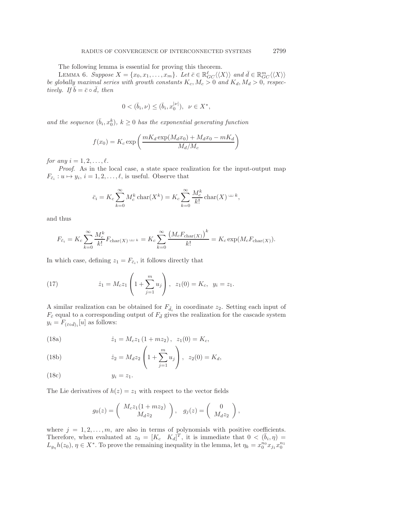The following lemma is essential for proving this theorem.

LEMMA 6. Suppose  $X = \{x_0, x_1, \ldots, x_m\}$ . Let  $\bar{c} \in \mathbb{R}_{GC}^{\ell} \langle \langle X \rangle \rangle$  and  $\bar{d} \in \mathbb{R}_{GC}^m \langle \langle X \rangle \rangle$ *be globally maximal series with growth constants*  $K_c$ ,  $M_c > 0$  and  $K_d$ ,  $M_d > 0$ , respec $tively.$  If  $\bar{b} = \bar{c} \circ \bar{d}$ , then

$$
0 < (\bar{b}_i, \nu) \leq (\bar{b}_i, x_0^{|\nu|}), \ \ \nu \in X^*,
$$

and the sequence  $(\bar{b}_i, x_0^k)$ ,  $k \geq 0$  has the exponential generating function

$$
f(x_0) = K_c \exp\left(\frac{mK_d \exp(M_d x_0) + M_d x_0 - mK_d}{M_d/M_c}\right)
$$

*for any*  $i = 1, 2, ..., \ell$ *.* 

*Proof*. As in the local case, a state space realization for the input-output map  $F_{\bar{c}_i} : u \mapsto y_i, i = 1, 2, \ldots, \ell$ , is useful. Observe that

$$
\bar{c}_i = K_c \sum_{k=0}^{\infty} M_c^k \operatorname{char}(X^k) = K_c \sum_{k=0}^{\infty} \frac{M_c^k}{k!} \operatorname{char}(X)^{\perp k},
$$

and thus

$$
F_{\bar{c}_i} = K_c \sum_{k=0}^{\infty} \frac{M_c^k}{k!} F_{\text{char}(X)} \sqcup \iota_k = K_c \sum_{k=0}^{\infty} \frac{\left(M_c F_{\text{char}(X)}\right)^k}{k!} = K_c \exp(M_c F_{\text{char}(X)}).
$$

In which case, defining  $z_1 = F_{\bar{c}_i}$ , it follows directly that

(17) 
$$
\dot{z}_1 = M_c z_1 \left( 1 + \sum_{j=1}^m u_j \right), \ \ z_1(0) = K_c, \ \ y_i = z_1.
$$

A similar realization can be obtained for  $F_{\bar{d}_i}$  in coordinate  $z_2$ . Setting each input of  $F_{\bar{c}}$  equal to a corresponding output of  $F_{\bar{d}}$  gives the realization for the cascade system  $y_i = F_{(\bar{c} \circ \bar{d})_i}[u]$  as follows:

(18a) 
$$
\dot{z}_1 = M_c z_1 (1 + mz_2), \ \ z_1(0) = K_c,
$$

(18b) 
$$
\dot{z}_2 = M_d z_2 \left( 1 + \sum_{j=1}^m u_j \right), \ \ z_2(0) = K_d,
$$

$$
(18c) \t\t y_i = z_1.
$$

The Lie derivatives of  $h(z) = z_1$  with respect to the vector fields

$$
g_0(z) = \begin{pmatrix} M_c z_1(1 + mz_2) \\ M_d z_2 \end{pmatrix}, \quad g_j(z) = \begin{pmatrix} 0 \\ M_d z_2 \end{pmatrix},
$$

where  $j = 1, 2, \ldots, m$ , are also in terms of polynomials with positive coefficients. Therefore, when evaluated at  $z_0 = [K_c \quad K_d]^T$ , it is immediate that  $0 < (\bar{b}_i, \eta) =$  $L_{g_n}h(z_0), \eta \in X^*$ . To prove the remaining inequality in the lemma, let  $\eta_k = x_0^{n_0}x_{j_1}x_0^{n_1}$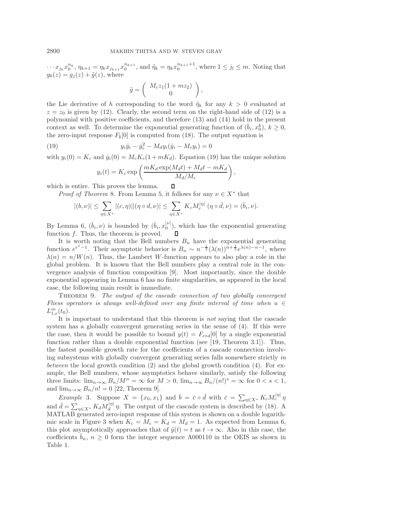$\cdots x_{j_k} x_0^{n_k}, \eta_{k+1} = \eta_k x_{j_{k+1}} x_0^{n_{k+1}}, \text{ and } \tilde{\eta}_k = \eta_k x_0^{n_{k+1}+1}, \text{ where } 1 \leq j_l \leq m.$  Noting that  $g_0(z) = g_j(z) + \tilde{g}(z)$ , where

$$
\tilde{g} = \left( \begin{array}{c} M_c z_1 (1 + m z_2) \\ 0 \end{array} \right),
$$

the Lie derivative of h corresponding to the word  $\tilde{\eta}_k$  for any  $k > 0$  evaluated at  $z = z_0$  is given by (12). Clearly, the second term on the right-hand side of (12) is a polynomial with positive coefficients, and therefore (13) and (14) hold in the present context as well. To determine the exponential generating function of  $(\bar{b}_i, x_0^k)$ ,  $k \geq 0$ , the zero-input response  $F<sub>b</sub>[0]$  is computed from (18). The output equation is

(19) 
$$
y_i \ddot{y}_i - \dot{y}_i^2 - M_d y_i (\dot{y}_i - M_c y_i) = 0
$$

with  $y_i(0) = K_c$  and  $\dot{y}_i(0) = M_c K_c (1 + mK_d)$ . Equation (19) has the unique solution

$$
y_i(t) = K_c \exp\left(\frac{mK_d \exp(M_d t) + M_d t - mK_d}{M_d/M_c}\right),
$$

which is entire. This proves the lemma. □

*Proof of Theorem* 8. From Lemma 5, it follows for any  $\nu \in X^*$  that

$$
|(b,\nu)| \leq \sum_{\eta \in X^*} |(c,\eta)| |(\eta \circ d,\nu)| \leq \sum_{\eta \in X^*} K_c M_c^{|\eta|} (\eta \circ \bar{d},\nu) = (\bar{b}_i,\nu).
$$

By Lemma 6,  $(\bar{b}_i, \nu)$  is bounded by  $(\bar{b}_i, x_0^{|\nu|})$ , which has the exponential generating function f. Thus, the theorem is proved. □

It is worth noting that the Bell numbers  $B_n$  have the exponential generating function  $e^{e^x-1}$ . Their asymptotic behavior is  $B_n \sim n^{-\frac{1}{2}} (\lambda(n))^{n+\frac{1}{2}} e^{\lambda(n)-n-1}$ , where  $\lambda(n) = n/W(n)$ . Thus, the Lambert W-function appears to also play a role in the global problem. It is known that the Bell numbers play a central role in the convergence analysis of function composition [9]. Most importantly, since the double exponential appearing in Lemma 6 has no finite singularities, as appeared in the local case, the following main result is immediate.

Theorem 9. *The output of the cascade connection of two globally convergent Fliess operators is always well-defined over any finite interval of time when* u ∈  $L_{1,e}^m(t_0)$ .

It is important to understand that this theorem is *not* saying that the cascade system has a globally convergent generating series in the sense of (4). If this were the case, then it would be possible to bound  $y(t) = F_{cod}[0]$  by a single exponential function rather than a double exponential function (see [19, Theorem 3.1]). Thus, the fastest possible growth rate for the coefficients of a cascade connection involving subsystems with globally convergent generating series falls somewhere strictly *in between* the local growth condition (2) and the global growth condition (4). For example, the Bell numbers, whose asymptotics behave similarly, satisfy the following three limits:  $\lim_{n\to\infty} B_n/M^n = \infty$  for  $M > 0$ ,  $\lim_{n\to\infty} B_n/(n!)^s = \infty$  for  $0 < s < 1$ , and  $\lim_{n\to\infty} B_n/n! = 0$  [22, Theorem 9].

*Example* 3. Suppose  $X = \{x_0, x_1\}$  and  $\bar{b} = \bar{c} \circ \bar{d}$  with  $\bar{c} = \sum_{\eta \in X^*} K_c M_c^{|\eta|} \eta$ and  $\bar{d} = \sum_{\eta \in X^*} K_d M_d^{|\eta|} \eta$ . The output of the cascade system is described by (18). A MATLAB generated zero-input response of this system is shown on a double logarithmic scale in Figure 3 when  $K_c = M_c = K_d = M_d = 1$ . As expected from Lemma 6, this plot asymptotically approaches that of  $\tilde{y}(t) = t$  as  $t \to \infty$ . Also in this case, the coefficients  $\bar{b}_n$ ,  $n \geq 0$  form the integer sequence A000110 in the OEIS as shown in Table 1.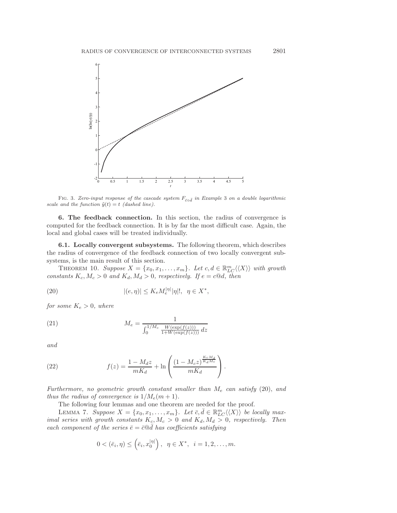

FIG. 3. Zero-input response of the cascade system  $F_{\bar{c} \circ \bar{d}}$  in Example 3 on a double logarithmic scale and the function  $\tilde{y}(t) = t$  (dashed line).

**6. The feedback connection.** In this section, the radius of convergence is computed for the feedback connection. It is by far the most difficult case. Again, the local and global cases will be treated individually.

**6.1. Locally convergent subsystems.** The following theorem, which describes the radius of convergence of the feedback connection of two locally convergent subsystems, is the main result of this section.

THEOREM 10. Suppose  $X = \{x_0, x_1, \ldots, x_m\}$ . Let  $c, d \in \mathbb{R}_{LC}^m \langle \langle X \rangle \rangle$  with growth *constants*  $K_c$ ,  $M_c > 0$  *and*  $K_d$ ,  $M_d > 0$ , *respectively.* If  $e = c@d$ , then

(20) 
$$
|(e,\eta)| \le K_e M_e^{|\eta|} |\eta|!, \ \ \eta \in X^*,
$$

*for some*  $K_e > 0$ *, where* 

(21) 
$$
M_e = \frac{1}{\int_0^{1/M_c} \frac{W(\exp(f(z)))}{1 + W(\exp(f(z)))} dz}
$$

*and*

(22) 
$$
f(z) = \frac{1 - M_d z}{m K_d} + \ln \left( \frac{(1 - M_c z)^{\frac{K_c M_d}{K_d M_c}}}{m K_d} \right).
$$

*Furthermore, no geometric growth constant smaller than* M<sup>e</sup> *can satisfy* (20), *and thus the radius of convergence is*  $1/M_e(m+1)$ *.* 

The following four lemmas and one theorem are needed for the proof.

LEMMA 7. *Suppose*  $X = \{x_0, x_1, \ldots, x_m\}$ . Let  $\bar{c}, \bar{d} \in \mathbb{R}_{LC}^m \langle \langle X \rangle \rangle$  be locally max*imal series with growth constants*  $K_c$ ,  $M_c > 0$  *and*  $K_d$ ,  $M_d > 0$ , *respectively. Then each component of the series*  $\bar{e} = \bar{c} \mathbb{Q} \bar{d}$  *has coefficients satisfying* 

$$
0 < (\bar{e}_i, \eta) \leq (\bar{e}_i, x_0^{|\eta|}), \ \eta \in X^*, \ i = 1, 2, ..., m.
$$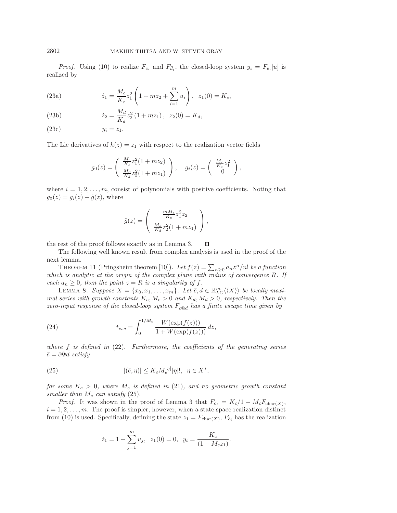*Proof.* Using (10) to realize  $F_{\bar{c}_i}$  and  $F_{\bar{d}_i}$ , the closed-loop system  $y_i = F_{\bar{e}_i}[u]$  is realized by

(23a) 
$$
\dot{z}_1 = \frac{M_c}{K_c} z_1^2 \left( 1 + mz_2 + \sum_{i=1}^m u_i \right), \ \ z_1(0) = K_c,
$$

(23b) 
$$
\dot{z}_2 = \frac{M_d}{K_d} z_2^2 (1 + mz_1), \ \ z_2(0) = K_d,
$$

$$
(23c) \t\t y_i = z_1.
$$

The Lie derivatives of  $h(z) = z_1$  with respect to the realization vector fields

$$
g_0(z) = \begin{pmatrix} \frac{M_c}{K_c} z_1^2 (1 + mz_2) \\ \frac{M_d}{K_d} z_2^2 (1 + mz_1) \end{pmatrix}, \quad g_i(z) = \begin{pmatrix} \frac{M_c}{K_c} z_1^2 \\ 0 \end{pmatrix},
$$

where  $i = 1, 2, \ldots, m$ , consist of polynomials with positive coefficients. Noting that  $g_0(z) = g_i(z) + \tilde{g}(z)$ , where

$$
\tilde{g}(z) = \begin{pmatrix} \frac{mM_c}{K_c} z_1^2 z_2 \\ \frac{M_d}{K_d} z_2^2 (1 + mz_1) \end{pmatrix},
$$

the rest of the proof follows exactly as in Lemma 3. □

The following well known result from complex analysis is used in the proof of the next lemma.

THEOREM 11 (Pringsheim theorem [10]). Let  $f(z) = \sum_{n\geq 0} a_n z^n/n!$  *be a function which is analytic at the origin of the complex plane with radius of convergence* R*. If each*  $a_n \geq 0$ *, then the point*  $z = R$  *is a singularity of f.* 

LEMMA 8. *Suppose*  $X = \{x_0, x_1, \ldots, x_m\}$ . Let  $\overline{c}, \overline{d} \in \mathbb{R}_{LC}^m \langle \langle X \rangle \rangle$  be locally maxi*mal series with growth constants*  $K_c$ ,  $M_c > 0$  *and*  $K_d$ ,  $M_d > 0$ , *respectively. Then the zero-input response of the closed-loop system*  $F_{\overline{c} \otimes \overline{d}}$  *has a finite escape time given by* 

(24) 
$$
t_{esc} = \int_0^{1/M_c} \frac{W(\exp(f(z)))}{1 + W(\exp(f(z)))} dz,
$$

*where* f *is defined in* (22). *Furthermore, the coefficients of the generating series*  $\bar{e} = \bar{c} @ \bar{d} ~satisfy$ 

(25) 
$$
|(\bar{e}, \eta)| \leq K_e M_e^{|\eta|} |\eta|!, \quad \eta \in X^*,
$$

*for some*  $K_e > 0$ *, where*  $M_e$  *is defined in* (21)*, and no geometric growth constant smaller than* M<sup>e</sup> *can satisfy* (25).

*Proof.* It was shown in the proof of Lemma 3 that  $F_{\bar{c}_i} = K_c/1 - M_cF_{\text{char}(X)}$ ,  $i = 1, 2, \ldots, m$ . The proof is simpler, however, when a state space realization distinct from (10) is used. Specifically, defining the state  $z_1 = F_{\text{char}(X)}$ ,  $F_{\bar{c}_i}$  has the realization

$$
\dot{z}_1 = 1 + \sum_{j=1}^{m} u_j
$$
,  $z_1(0) = 0$ ,  $y_i = \frac{K_c}{(1 - M_c z_1)}$ .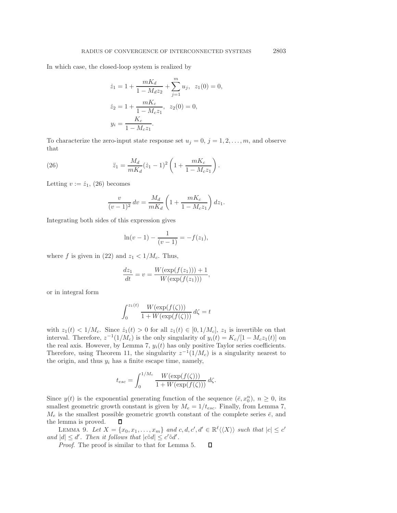In which case, the closed-loop system is realized by

$$
\begin{aligned}\n\dot{z}_1 &= 1 + \frac{mK_d}{1 - M_d z_2} + \sum_{j=1}^m u_j, \ z_1(0) = 0, \\
\dot{z}_2 &= 1 + \frac{mK_c}{1 - M_c z_1}, \ z_2(0) = 0, \\
y_i &= \frac{K_c}{1 - M_c z_1}.\n\end{aligned}
$$

To characterize the zero-input state response set  $u_j = 0, j = 1, 2, \ldots, m$ , and observe that

(26) 
$$
\ddot{z}_1 = \frac{M_d}{mK_d} (\dot{z}_1 - 1)^2 \left( 1 + \frac{mK_c}{1 - M_c z_1} \right).
$$

Letting  $v := \dot{z}_1$ , (26) becomes

$$
\frac{v}{(v-1)^2} dv = \frac{M_d}{mK_d} \left( 1 + \frac{mK_c}{1 - M_c z_1} \right) dz_1.
$$

Integrating both sides of this expression gives

$$
\ln(v-1) - \frac{1}{(v-1)} = -f(z_1),
$$

where f is given in (22) and  $z_1 < 1/M_c$ . Thus,

$$
\frac{dz_1}{dt} = v = \frac{W(\exp(f(z_1))) + 1}{W(\exp(f(z_1)))},
$$

or in integral form

$$
\int_0^{z_1(t)} \frac{W(\exp(f(\zeta)))}{1 + W(\exp(f(\zeta)))} d\zeta = t
$$

with  $z_1(t) < 1/M_c$ . Since  $\dot{z}_1(t) > 0$  for all  $z_1(t) \in [0, 1/M_c]$ ,  $z_1$  is invertible on that interval. Therefore,  $z^{-1}(1/M_c)$  is the only singularity of  $y_i(t) = K_c/[1 - M_c z_1(t)]$  on the real axis. However, by Lemma 7,  $y_i(t)$  has only positive Taylor series coefficients. Therefore, using Theorem 11, the singularity  $z^{-1}(1/M_c)$  is a singularity nearest to the origin, and thus  $y_i$  has a finite escape time, namely,

$$
t_{esc} = \int_0^{1/M_c} \frac{W(\exp(f(\zeta)))}{1 + W(\exp(f(\zeta)))} d\zeta.
$$

Since  $y(t)$  is the exponential generating function of the sequence  $(\bar{e}, x_0^n)$ ,  $n \geq 0$ , its smallest geometric growth constant is given by  $M_e = 1/t_{esc}$ . Finally, from Lemma 7,  $M_e$  is the smallest possible geometric growth constant of the complete series  $\bar{e}$ , and the lemma is proved. □

LEMMA 9. Let  $X = \{x_0, x_1, \ldots, x_m\}$  and  $c, d, c', d' \in \mathbb{R}^{\ell} \langle \langle X \rangle \rangle$  such that  $|c| \leq c'$ *and*  $|d| \leq d'$ . Then it follows that  $|c \tilde{d}| \leq c' \tilde{d}'$ .

*Proof*. The proof is similar to that for Lemma 5. □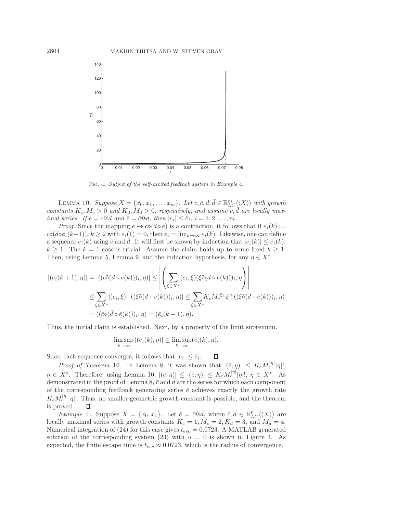

Fig. 4. Output of the self-excited feedback system in Example 4.

LEMMA 10. *Suppose*  $X = \{x_0, x_1, \ldots, x_m\}$ . Let  $c, \bar{c}, d, \bar{d} \in \mathbb{R}_{LC}^m \langle \langle X \rangle \rangle$  with growth constants  $K_c, M_c > 0$  and  $K_d, M_d > 0$ , respectively, and assume  $\overline{c}, \overline{d}$  are locally max*imal series.* If  $e = c \mathbb{Q}d$  and  $\overline{e} = \overline{c} \mathbb{Q} \overline{d}$ , then  $|e_i| \leq \overline{e}_i$ ,  $i = 1, 2, ..., m$ .

*Proof.* Since the mapping  $e \mapsto c \tilde{\circ} (d \circ e)$  is a contraction, it follows that if  $e_i(k) :=$  $c\tilde{\circ}(doe_i(k-1)), k \geq 2$  with  $e_i(1) = 0$ , then  $e_i = \lim_{k \to \infty} e_i(k)$ . Likewise, one can define a sequence  $\bar{e}_i(k)$  using  $\bar{c}$  and  $\bar{d}$ . It will first be shown by induction that  $|e_i(k)| \leq \bar{e}_i(k)$ ,  $k \geq 1$ . The  $k = 1$  case is trivial. Assume the claim holds up to some fixed  $k \geq 1$ . Then, using Lemma 5, Lemma 9, and the induction hypothesis, for any  $\eta \in X^*$ 

$$
|(e_i(k+1),\eta)| = |((c\tilde{\circ}(d\circ e(k)))_i, \eta)| \le \left| \left(\sum_{\xi \in X^*} (c_i, \xi)(\xi \tilde{\circ}(d\circ e(k)))_i, \eta\right) \right|
$$
  

$$
\le \sum_{\xi \in X^*} |(c_i, \xi)| |((\xi \tilde{\circ}(d\circ e(k)))_i, \eta)| \le \sum_{\xi \in X^*} K_c M_c^{|\xi|} |\xi|! ((\xi \tilde{\circ}(\bar{d}\circ \bar{e}(k)))_i, \eta)
$$
  

$$
= ((\bar{c}\tilde{\circ}(\bar{d}\circ \bar{e}(k)))_i, \eta) = (\bar{e}_i(k+1), \eta).
$$

Thus, the initial claim is established. Next, by a property of the limit supremum,

$$
\limsup_{k \to \infty} |(e_i(k), \eta)| \le \limsup_{k \to \infty} (\bar{e}_i(k), \eta).
$$

Since each sequence converges, it follows that  $|e_i| \leq \bar{e}_i$ . □

*Proof of Theorem* 10. In Lemma 8, it was shown that  $|(\bar{e}, \eta)| \leq K_e M_e^{|\eta|} |\eta|!$ ,  $\eta \in X^*$ . Therefore, using Lemma 10,  $|(e, \eta)| \leq |(\bar{e}, \eta)| \leq K_e M_e^{|\eta|} |\eta|!$ ,  $\eta \in X^*$ . As demonstrated in the proof of Lemma 8,  $\bar{c}$  and  $\bar{d}$  are the series for which each component of the corresponding feedback generating series  $\bar{e}$  achieves exactly the growth rate  $K_e M_e^{|\eta|} |\eta|!$ . Thus, no smaller geometric growth constant is possible, and the theorem is proved. □

*Example* 4. Suppose  $X = \{x_0, x_1\}$ . Let  $\bar{e} = \bar{c} \otimes \bar{d}$ , where  $\bar{c}, \bar{d} \in \mathbb{R}_{LC}^{\ell} \langle \langle X \rangle \rangle$  are locally maximal series with growth constants  $K_c = 1, M_c = 2, K_d = 3$ , and  $M_d = 4$ . Numerical integration of (24) for this case gives  $t_{esc} = 0.0723$ . A MATLAB generated solution of the corresponding system  $(23)$  with  $u = 0$  is shown in Figure 4. As expected, the finite escape time is  $t_{esc} \approx 0.0723$ , which is the radius of convergence.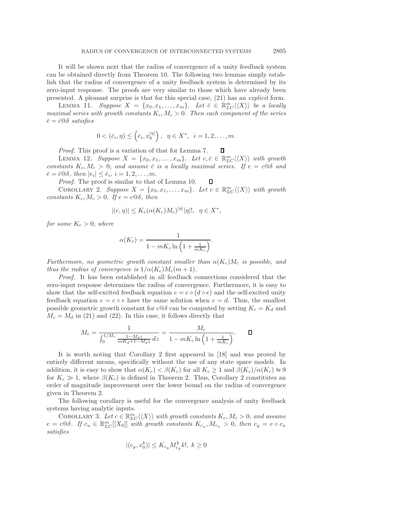It will be shown next that the radius of convergence of a unity feedback system can be obtained directly from Theorem 10. The following two lemmas simply establish that the radius of convergence of a unity feedback system is determined by its zero-input response. The proofs are very similar to those which have already been presented. A pleasant surprise is that for this special case, (21) has an *explicit* form.

LEMMA 11. Suppose  $X = \{x_0, x_1, \ldots, x_m\}$ . Let  $\overline{c} \in \mathbb{R}_{LC}^m \langle \langle X \rangle \rangle$  be a locally *maximal series with growth constants*  $K_c$ ,  $M_c > 0$ . Then each component of the series  $\bar{e} = \bar{c}$ *©δ satisfies* 

$$
0 < (\bar{e}_i, \eta) \leq (\bar{e}_i, x_0^{|\eta|}), \ \ \eta \in X^*, \ \ i = 1, 2, \dots, m.
$$

*Proof*. This proof is a variation of that for Lemma 7. D

LEMMA 12. *Suppose*  $X = \{x_0, x_1, \ldots, x_m\}$ . Let  $c, \bar{c} \in \mathbb{R}_{LC}^m \langle \langle X \rangle \rangle$  with growth *constants*  $K_c, M_c > 0$ , and assume  $\overline{c}$  *is a locally maximal series. If*  $e = c \circledcirc \delta$  *and*  $\overline{e} = \overline{c} \mathbb{Q} \delta$ , then  $|e_i| \leq \overline{e}_i$ ,  $i = 1, 2, \ldots, m$ .

*Proof*. The proof is similar to that of Lemma 10.

COROLLARY 2. Suppose  $X = \{x_0, x_1, \ldots, x_m\}$ . Let  $c \in \mathbb{R}_{LC}^m \langle \langle X \rangle \rangle$  with growth *constants*  $K_c$ ,  $M_c > 0$ *. If*  $e = c \mathbb{Q} \delta$ *, then* 

□

$$
|(e,\eta)| \le K_e(\alpha(K_c)M_c)^{|\eta|}|\eta|!, \ \ \eta \in X^*,
$$

*for some*  $K_e > 0$ *, where* 

$$
\alpha(K_c) = \frac{1}{1 - mK_c \ln\left(1 + \frac{1}{mK_c}\right)}.
$$

*Furthermore, no geometric growth constant smaller than*  $\alpha(K_c)M_c$  *is possible, and thus the radius of convergence is*  $1/\alpha(K_c)M_c(m+1)$ *.* 

*Proof.* It has been established in all feedback connections considered that the zero-input response determines the radius of convergence. Furthermore, it is easy to show that the self-excited feedback equation  $e = c \circ (d \circ e)$  and the self-excited unity feedback equation  $e = c \circ e$  have the same solution when  $c = d$ . Thus, the smallest possible geometric growth constant for  $c@\delta$  can be computed by setting  $K_c = K_d$  and  $M_c = M_d$  in (21) and (22). In this case, it follows directly that

$$
M_e = \frac{1}{\int_0^{1/M_c} \frac{1 - M_d z}{m K_d + 1 - M_d z} dz} = \frac{M_c}{1 - m K_c \ln\left(1 + \frac{1}{m K_c}\right)}.
$$

It is worth noting that Corollary 2 first appeared in [18] and was proved by entirely different means, specifically without the use of any state space models. In addition, it is easy to show that  $\alpha(K_c) < \beta(K_c)$  for all  $K_c \geq 1$  and  $\beta(K_c)/\alpha(K_c) \approx 9$ for  $K_c \gg 1$ , where  $\beta(K_c)$  is defined in Theorem 2. Thus, Corollary 2 constitutes an order of magnitude improvement over the lower bound on the radius of convergence given in Theorem 2.

The following corollary is useful for the convergence analysis of unity feedback systems having analytic inputs.

COROLLARY 3. Let  $c \in \mathbb{R}_{LC}^m \langle \langle X \rangle \rangle$  with growth constants  $K_c, M_c > 0$ , and assume  $e = c \mathbb{Q} \delta$ . If  $c_u \in \mathbb{R}_{LC}^m[[X_0]]$  with growth constants  $K_{c_u}, M_{c_u} > 0$ , then  $c_y = e \circ c_u$ *satisfies*

$$
|(c_y, x_0^k)| \le K_{c_y} M_{c_y}^k k!, \ k \ge 0
$$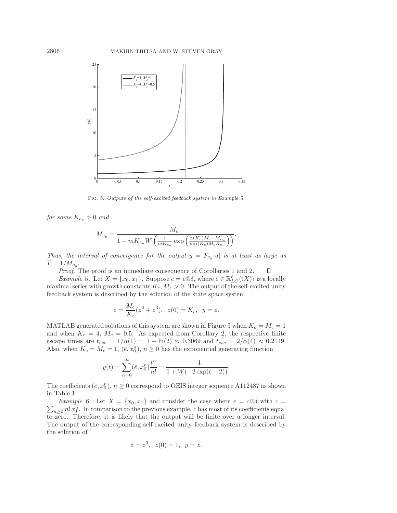

Fig. 5. Outputs of the self-excited feedback system in Example 5.

*for some*  $K_{c_y} > 0$  *and* 

$$
M_{c_y} = \frac{M_{c_u}}{1 - mK_{c_u}W\left(\frac{1}{mK_{c_u}}\exp\left(\frac{\alpha(K_c)M_c - M_{c_u}}{m\alpha(K_c)M_cK_{c_u}}\right)\right)}.
$$

*Thus, the interval of convergence for the output*  $y = F_{c_y}[u]$  *is at least as large as*  $T = 1/M_{c_y}$ .

*Proof*. The proof is an immediate consequence of Corollaries 1 and 2. □

*Example* 5. Let  $X = \{x_0, x_1\}$ . Suppose  $\overline{e} = \overline{c} \mathcal{A} \mathcal{A}$ , where  $\overline{c} \in \mathbb{R}_{LC}^{\ell} \langle \langle X \rangle \rangle$  is a locally maximal series with growth constants  $K_c, M_c > 0$ . The output of the self-excited unity feedback system is described by the solution of the state space system

$$
\dot{z} = \frac{M_c}{K_c}(z^2 + z^3), \ z(0) = K_c, \ y = z.
$$

MATLAB generated solutions of this system are shown in Figure 5 when  $K_c = M_c = 1$ and when  $K_c = 4$ ,  $M_c = 0.5$ . As expected from Corollary 2, the respective finite escape times are  $t_{esc} = 1/\alpha(1) = 1 - \ln(2) \approx 0.3069$  and  $t_{esc} = 2/\alpha(4) \approx 0.2149$ . Also, when  $K_c = M_c = 1$ ,  $(\bar{e}, x_0^n)$ ,  $n \geq 0$  has the exponential generating function

$$
y(t) = \sum_{n=0}^{\infty} (\bar{e}, x_0^n) \frac{t^n}{n!} = \frac{-1}{1 + W(-2\exp(t-2))}.
$$

The coefficients  $(\bar{e}, x_0^n)$ ,  $n \geq 0$  correspond to OEIS integer sequence A112487 as shown in Table 1.

 $\sum_{n\geq 0} n! x_1^n$ . In comparison to the previous example, c has most of its coefficients equal *Example* 6. Let  $X = \{x_0, x_1\}$  and consider the case where  $e = c \circ \delta$  with  $c =$ to zero. Therefore, it is likely that the output will be finite over a longer interval. The output of the corresponding self-excited unity feedback system is described by the solution of

$$
\dot{z} = z^3, \ z(0) = 1, \ y = z.
$$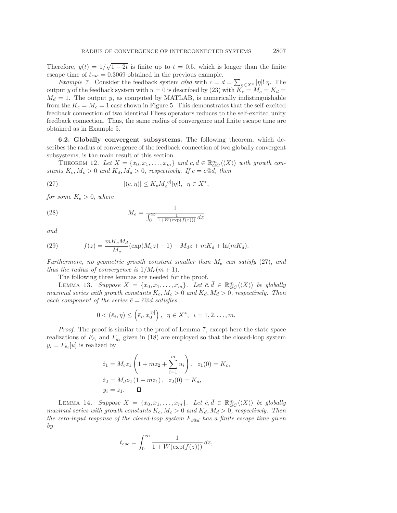Therefore,  $y(t) = 1/\sqrt{1-2t}$  is finite up to  $t = 0.5$ , which is longer than the finite escape time of  $t_{esc} = 0.3069$  obtained in the previous example.

*Example* 7. Consider the feedback system  $c@d$  with  $c = d = \sum_{\eta \in X^*} |\eta|! \eta$ . The output y of the feedback system with  $u = 0$  is described by (23) with  $K_c = M_c = K_d$  $M_d = 1$ . The output y, as computed by MATLAB, is numerically indistinguishable from the  $K_c = M_c = 1$  case shown in Figure 5. This demonstrates that the self-excited feedback connection of two identical Fliess operators reduces to the self-excited unity feedback connection. Thus, the same radius of convergence and finite escape time are obtained as in Example 5.

**6.2. Globally convergent subsystems.** The following theorem, which describes the radius of convergence of the feedback connection of two globally convergent subsystems, is the main result of this section.

THEOREM 12. Let  $X = \{x_0, x_1, \ldots, x_m\}$  and  $c, d \in \mathbb{R}_{GC}^m \langle \langle X \rangle \rangle$  with growth con*stants*  $K_c$ ,  $M_c > 0$  *and*  $K_d$ ,  $M_d > 0$ , *respectively.* If  $e = c \text{Q}d$ , *then* 

(27) 
$$
|(e,\eta)| \leq K_e M_e^{|\eta|} |\eta|!, \quad \eta \in X^*,
$$

*for some*  $K_e > 0$ *, where* 

(28) 
$$
M_e = \frac{1}{\int_0^\infty \frac{1}{1 + W(\exp(f(z)))} dz}
$$

*and*

(29) 
$$
f(z) = \frac{mK_cM_d}{M_c}(\exp(M_c z) - 1) + M_d z + mK_d + \ln(mK_d).
$$

*Furthermore, no geometric growth constant smaller than* M<sup>e</sup> *can satisfy* (27), *and thus the radius of convergence is*  $1/M_e(m+1)$ *.* 

The following three lemmas are needed for the proof.

LEMMA 13. *Suppose*  $X = \{x_0, x_1, \ldots, x_m\}$ . Let  $\bar{c}, \bar{d} \in \mathbb{R}_{GC}^m \langle \langle X \rangle \rangle$  be globally *maximal series with growth constants*  $K_c$ ,  $M_c > 0$  *and*  $K_d$ ,  $M_d > 0$ , *respectively. Then each component of the series*  $\bar{e} = \bar{c} \mathbb{Q} \bar{d}$  *satisfies* 

$$
0 < (\bar{e}_i, \eta) \leq (\bar{e}_i, x_0^{|\eta|}), \ \ \eta \in X^*, \ \ i = 1, 2, \dots, m.
$$

*Proof.* The proof is similar to the proof of Lemma 7, except here the state space realizations of  $F_{\bar{c}_i}$  and  $F_{\bar{d}_i}$  given in (18) are employed so that the closed-loop system  $y_i = F_{\bar{e}_i}[u]$  is realized by

$$
\begin{aligned} \dot{z}_1 &= M_c z_1 \left( 1 + m z_2 + \sum_{i=1}^m u_i \right), \ z_1(0) = K_c, \\ \dot{z}_2 &= M_d z_2 \left( 1 + m z_1 \right), \ z_2(0) = K_d, \\ y_i &= z_1. \quad \blacksquare \end{aligned}
$$

LEMMA 14. Suppose  $X = \{x_0, x_1, \ldots, x_m\}$ . Let  $\bar{c}, \bar{d} \in \mathbb{R}_{GC}^m \langle \langle X \rangle \rangle$  be globally *maximal series with growth constants*  $K_c$ ,  $M_c > 0$  *and*  $K_d$ ,  $M_d > 0$ , *respectively. Then the zero-input response of the closed-loop system*  $F_{\bar{c}^{\circledast} \bar{d}}$  *has a finite escape time given by*

$$
t_{esc} = \int_0^\infty \frac{1}{1 + W(\exp(f(z)))} dz,
$$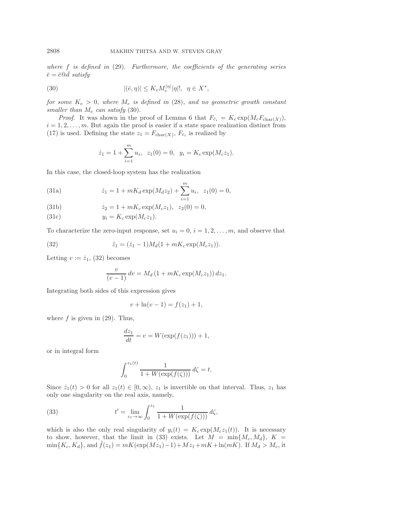*where* f *is defined in* (29). *Furthermore, the coefficients of the generating series*  $\bar{e} = \bar{c} @ \bar{d} ~satisfy$ 

(30) 
$$
|(\bar{e}, \eta)| \leq K_e M_e^{|\eta|} |\eta|!, \quad \eta \in X^*,
$$

*for some*  $K_e > 0$ *, where*  $M_e$  *is defined in* (28)*, and no geometric growth constant smaller than* M<sup>e</sup> *can satisfy* (30).

*Proof.* It was shown in the proof of Lemma 6 that  $F_{\bar{c}_i} = K_c \exp(M_c F_{\text{char}(X)})$ ,  $i = 1, 2, \ldots, m$ . But again the proof is easier if a state space realization distinct from (17) is used. Defining the state  $z_1 = F_{\text{char}(X)}$ ,  $F_{\bar{c}_i}$  is realized by

$$
\dot{z}_1 = 1 + \sum_{i=1}^{m} u_i
$$
,  $z_1(0) = 0$ ,  $y_i = K_c \exp(M_c z_1)$ .

In this case, the closed-loop system has the realization

(31a) 
$$
\dot{z}_1 = 1 + mK_d \exp(M_d z_2) + \sum_{i=1}^m u_i, \ \ z_1(0) = 0,
$$

(31b) 
$$
\dot{z}_2 = 1 + mK_c \exp(M_c z_1), \ \ z_2(0) = 0,
$$

(31c) 
$$
y_i = K_c \exp(M_c z_1).
$$

To characterize the zero-input response, set  $u_i = 0, i = 1, 2, \ldots, m$ , and observe that

(32) 
$$
\ddot{z}_1 = (\dot{z}_1 - 1)M_d(1 + mK_c \exp(M_c z_1)).
$$

Letting  $v := \dot{z}_1$ , (32) becomes

$$
\frac{v}{(v-1)} dv = M_d (1 + mK_c \exp(M_c z_1)) dz_1.
$$

Integrating both sides of this expression gives

$$
v + \ln(v - 1) = f(z_1) + 1,
$$

where  $f$  is given in  $(29)$ . Thus,

$$
\frac{dz_1}{dt} = v = W(\exp(f(z_1))) + 1,
$$

or in integral form

$$
\int_0^{z_1(t)} \frac{1}{1 + W(\exp(f(\zeta)))} d\zeta = t.
$$

Since  $\dot{z}_1(t) > 0$  for all  $z_1(t) \in [0, \infty)$ ,  $z_1$  is invertible on that interval. Thus,  $z_1$  has only one singularity on the real axis, namely,

(33) 
$$
t' = \lim_{z_1 \to \infty} \int_0^{z_1} \frac{1}{1 + W(\exp(f(\zeta)))} d\zeta,
$$

which is also the only real singularity of  $y_i(t) = K_c \exp(M_c z_1(t))$ . It is necessary to show, however, that the limit in (33) exists. Let  $M = \min\{M_c, M_d\}, K =$  $\min\{K_c, K_d\}$ , and  $\hat{f}(z_1) = mK(\exp(Mz_1)-1)+Mz_1+mK+\ln(mK)$ . If  $M_d > M_c$ , it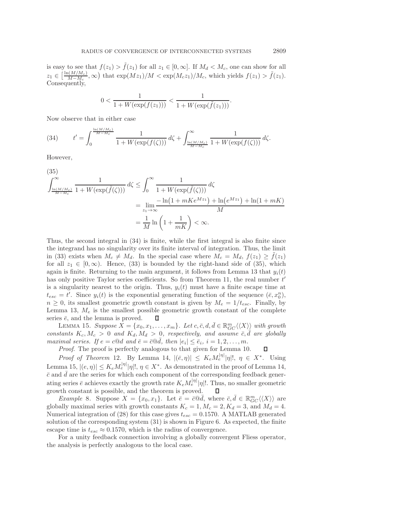is easy to see that  $f(z_1) > \tilde{f}(z_1)$  for all  $z_1 \in [0, \infty]$ . If  $M_d < M_c$ , one can show for all  $z_1 \in \left[\frac{\ln(M/M_c)}{M-M_c},\infty\right)$  that  $\exp(Mz_1)/M < \exp(M_cz_1)/M_c$ , which yields  $f(z_1) > \tilde{f}(z_1)$ . Consequently,

$$
0 < \frac{1}{1 + W(\exp(f(z_1)))} < \frac{1}{1 + W(\exp(\tilde{f}(z_1)))}.
$$

Now observe that in either case

(34) 
$$
t' = \int_0^{\frac{\ln(M/M_c)}{M-M_c}} \frac{1}{1 + W(\exp(f(\zeta)))} d\zeta + \int_{\frac{\ln(M/M_c)}{M-M_c}}^{\infty} \frac{1}{1 + W(\exp(f(\zeta)))} d\zeta.
$$

However,

(35)  
\n
$$
\int_{\frac{\ln(M/M_c)}{M-M_c}}^{\infty} \frac{1}{1+W(\exp(\tilde{f}(\zeta)))} d\zeta \le \int_0^{\infty} \frac{1}{1+W(\exp(\tilde{f}(\zeta)))} d\zeta
$$
\n
$$
= \lim_{z_1 \to \infty} \frac{-\ln(1+mKe^{Mz_1}) + \ln(e^{Mz_1}) + \ln(1+mK)}{M}
$$
\n
$$
= \frac{1}{M} \ln\left(1 + \frac{1}{mK}\right) < \infty.
$$

Thus, the second integral in (34) is finite, while the first integral is also finite since the integrand has no singularity over its finite interval of integration. Thus, the limit in (33) exists when  $M_c \neq M_d$ . In the special case where  $M_c = M_d$ ,  $f(z_1) \geq f(z_1)$ for all  $z_1 \in [0, \infty)$ . Hence, (33) is bounded by the right-hand side of (35), which again is finite. Returning to the main argument, it follows from Lemma 13 that  $y_i(t)$ has only positive Taylor series coefficients. So from Theorem 11, the real number  $t'$ is a singularity nearest to the origin. Thus,  $y_i(t)$  must have a finite escape time at  $t_{esc} = t'$ . Since  $y_i(t)$  is the exponential generating function of the sequence  $(\bar{e}, x_0^n)$ ,  $n \geq 0$ , its smallest geometric growth constant is given by  $M_e = 1/t_{esc}$ . Finally, by Lemma 13,  $M_e$  is the smallest possible geometric growth constant of the complete series  $\bar{e}$ , and the lemma is proved. □

LEMMA 15. *Suppose*  $\overline{X} = \{x_0, x_1, \ldots, x_m\}$ . Let  $c, \overline{c}, d, \overline{d} \in \mathbb{R}_{GC}^m \langle \langle X \rangle \rangle$  with growth *constants*  $K_c$ ,  $M_c > 0$  *and*  $K_d$ ,  $M_d > 0$ , *respectively*, *and assume*  $\overline{c}$ ,  $\overline{d}$  *are globally maximal series.* If  $e = c \mathbb{Q}d$  and  $\bar{e} = \bar{c} \mathbb{Q}d$ , then  $|e_i| \leq \bar{e}_i$ ,  $i = 1, 2, ..., m$ .

*Proof*. The proof is perfectly analogous to that given for Lemma 10. □

*Proof of Theorem* 12. By Lemma 14,  $|(\bar{e}, \eta)| \leq K_e M_e^{|\eta|} |\eta|!$ ,  $\eta \in X^*$ . Using Lemma 15,  $|(e, \eta)| \leq K_e M_e^{|\eta|} |\eta|!$ ,  $\eta \in X^*$ . As demonstrated in the proof of Lemma 14,  $\bar{c}$  and  $\bar{d}$  are the series for which each component of the corresponding feedback generating series  $\bar{e}$  achieves exactly the growth rate  $K_e M_e^{|\eta|} |\eta|!$ . Thus, no smaller geometric growth constant is possible, and the theorem is proved. □

*Example* 8. Suppose  $X = \{x_0, x_1\}$ . Let  $\overline{e} = \overline{c} \mathbb{Q} \overline{d}$ , where  $\overline{c}, \overline{d} \in \mathbb{R}_{GC}^m \langle \langle X \rangle \rangle$  are globally maximal series with growth constants  $K_c = 1, M_c = 2, K_d = 3$ , and  $M_d = 4$ . Numerical integration of (28) for this case gives  $t_{esc} = 0.1570$ . A MATLAB generated solution of the corresponding system (31) is shown in Figure 6. As expected, the finite escape time is  $t_{esc} \approx 0.1570$ , which is the radius of convergence.

For a unity feedback connection involving a globally convergent Fliess operator, the analysis is perfectly analogous to the local case.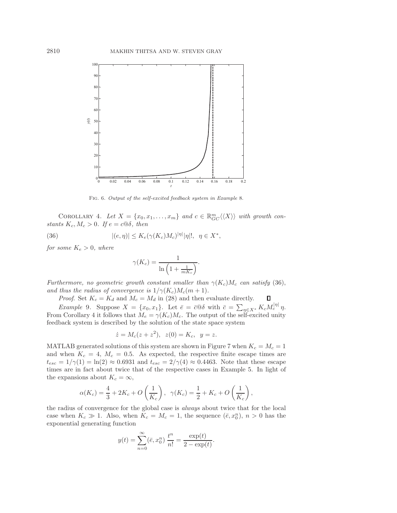

Fig. 6. Output of the self-excited feedback system in Example 8.

COROLLARY 4. Let  $X = \{x_0, x_1, \ldots, x_m\}$  and  $c \in \mathbb{R}_{GC}^m \langle \langle X \rangle \rangle$  with growth con*stants*  $K_c$ ,  $M_c > 0$ *. If*  $e = c \mathbb{Q}\delta$ *, then* 

(36) 
$$
|(e,\eta)| \leq K_e(\gamma(K_c)M_c)^{|\eta|}|\eta|!, \quad \eta \in X^*,
$$

*for some*  $K_e > 0$ *, where* 

$$
\gamma(K_c) = \frac{1}{\ln\left(1 + \frac{1}{mK_c}\right)}.
$$

*Furthermore, no geometric growth constant smaller than*  $\gamma(K_c)M_c$  *can satisfy* (36), *and thus the radius of convergence is*  $1/\gamma(K_c)M_c(m+1)$ *.* 

□

*Proof.* Set  $K_c = K_d$  and  $M_c = M_d$  in (28) and then evaluate directly.

*Example* 9. Suppose  $X = \{x_0, x_1\}$ . Let  $\bar{e} = \bar{c} \otimes \delta$  with  $\bar{c} = \sum_{\eta \in X^*} K_c M_c^{|\eta|} \eta$ . From Corollary 4 it follows that  $M_e = \gamma(K_c)M_c$ . The output of the self-excited unity feedback system is described by the solution of the state space system

$$
\dot{z} = M_c(z + z^2), \ z(0) = K_c, \ y = z.
$$

MATLAB generated solutions of this system are shown in Figure 7 when  $K_c = M_c = 1$ and when  $K_c = 4$ ,  $M_c = 0.5$ . As expected, the respective finite escape times are  $t_{esc} = 1/\gamma(1) = \ln(2) \approx 0.6931$  and  $t_{esc} = 2/\gamma(4) \approx 0.4463$ . Note that these escape times are in fact about twice that of the respective cases in Example 5. In light of the expansions about  $K_c = \infty$ ,

$$
\alpha(K_c) = \frac{4}{3} + 2K_c + O\left(\frac{1}{K_c}\right), \ \ \gamma(K_c) = \frac{1}{2} + K_c + O\left(\frac{1}{K_c}\right),
$$

the radius of convergence for the global case is *always* about twice that for the local case when  $K_c \gg 1$ . Also, when  $K_c = M_c = 1$ , the sequence  $(\bar{e}, x_0^n)$ ,  $n > 0$  has the exponential generating function

$$
y(t) = \sum_{n=0}^{\infty} (\bar{e}, x_0^n) \frac{t^n}{n!} = \frac{\exp(t)}{2 - \exp(t)}.
$$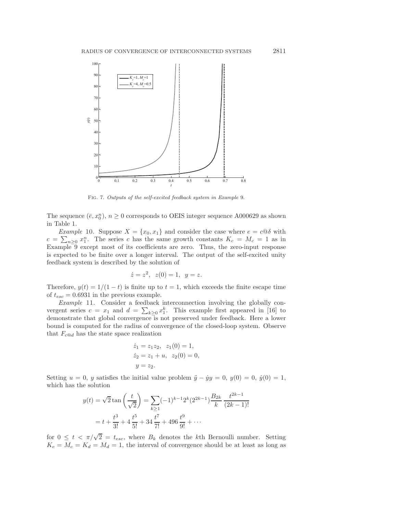

Fig. 7. Outputs of the self-excited feedback system in Example 9.

The sequence  $(\bar{e}, x_0^n)$ ,  $n \geq 0$  corresponds to OEIS integer sequence A000629 as shown in Table 1.

*Example* 10. Suppose  $X = \{x_0, x_1\}$  and consider the case where  $e = c \omega \delta$  with  $c = \sum_{n \geq 0} x_1^n$ . The series c has the same growth constants  $K_c = M_c = 1$  as in Example 9 except most of its coefficients are zero. Thus, the zero-input response is expected to be finite over a longer interval. The output of the self-excited unity feedback system is described by the solution of

$$
\dot{z} = z^2, \ z(0) = 1, \ y = z.
$$

Therefore,  $y(t) = 1/(1 - t)$  is finite up to  $t = 1$ , which exceeds the finite escape time of  $t_{esc} = 0.6931$  in the previous example.

*Example* 11. Consider a feedback interconnection involving the globally convergent series  $c = x_1$  and  $d = \sum_{k \geq 0} x_1^k$ . This example first appeared in [16] to demonstrate that global convergence is not preserved under feedback. Here a lower bound is computed for the radius of convergence of the closed-loop system. Observe that  $F_{c@d}$  has the state space realization

$$
\dot{z}_1 = z_1 z_2, \ z_1(0) = 1, \n\dot{z}_2 = z_1 + u, \ z_2(0) = 0, \ny = z_2.
$$

Setting  $u = 0$ , y satisfies the initial value problem  $\ddot{y} - \dot{y}y = 0$ ,  $y(0) = 0$ ,  $\dot{y}(0) = 1$ , which has the solution

$$
y(t) = \sqrt{2} \tan\left(\frac{t}{\sqrt{2}}\right) = \sum_{k\geq 1} (-1)^{k-1} 2^k (2^{2k-1}) \frac{B_{2k}}{k} \frac{t^{2k-1}}{(2k-1)!}
$$

$$
= t + \frac{t^3}{3!} + 4 \frac{t^5}{5!} + 34 \frac{t^7}{7!} + 496 \frac{t^9}{9!} + \cdots
$$

for  $0 \leq t < \pi/\sqrt{2} = t_{esc}$ , where  $B_k$  denotes the kth Bernoulli number. Setting  $K_c = M_c = K_d = M_d = 1$ , the interval of convergence should be at least as long as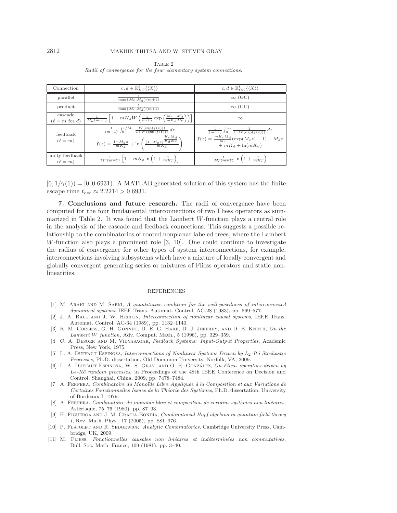| Connection                             | $c, d \in \mathbb{R}_{L}^{\ell}(\langle X \rangle)$                                                                                                                                          | $c, d \in \mathbb{R}_{GC}^{\ell} \langle \langle X \rangle \rangle$                                                                        |
|----------------------------------------|----------------------------------------------------------------------------------------------------------------------------------------------------------------------------------------------|--------------------------------------------------------------------------------------------------------------------------------------------|
| parallel                               | $\max\{M_c,M_d\}(m+1)$                                                                                                                                                                       | $\infty$ (GC)                                                                                                                              |
| product                                | $\max\{M_c,M_d\}(m+1)$                                                                                                                                                                       | $\infty$ (GC)                                                                                                                              |
| cascade<br>$(\ell = m \text{ for } d)$ | $\frac{1}{M_d(m+1)}\left[1-mK_dW\left(\frac{1}{mK_d}\exp\left(\frac{M_c-M_d}{mK_dM_c}\right)\right)\right]$                                                                                  | $\infty$                                                                                                                                   |
| feedback<br>$(\ell = m)$               | $\frac{1}{(m+1)} \int_0^{1/M_c} \frac{W(\exp(f(z)))}{1+W(\exp(f(z)))} dz$<br>$f(z) = \tfrac{1 - M_d z}{m K_d} + \ln \left( \tfrac{\left(1 - M_c z\right) \overline{K_d M_c}}{m K_d} \right)$ | $\frac{1}{(m+1)} \int_0^\infty \frac{1}{1+W(\exp(f(z)))} dz$<br>$f(z) = \frac{mK_cM_d}{M_c}(\exp(M_cz) - 1) + M_dz$<br>$+mK_d + \ln(mK_d)$ |
| unity feedback<br>$(\ell = m)$         | $\frac{1}{M_c(m+1)}\left[1-mK_c\ln\left(1+\frac{1}{mK_c}\right)\right]$                                                                                                                      | $\frac{1}{M_c(m+1)}\ln\left(1+\frac{1}{mK_c}\right)$                                                                                       |

TABLE 2 Radii of convergence for the four elementary system connections.

 $[0, 1/\gamma(1)) = [0, 0.6931)$ . A MATLAB generated solution of this system has the finite escape time  $t_{esc} \approx 2.2214 > 0.6931$ .

**7. Conclusions and future research.** The radii of convergence have been computed for the four fundamental interconnections of two Fliess operators as summarized in Table 2. It was found that the Lambert W-function plays a central role in the analysis of the cascade and feedback connections. This suggests a possible relationship to the combinatorics of rooted nonplanar labeled trees, where the Lambert W-function also plays a prominent role [3, 10]. One could continue to investigate the radius of convergence for other types of system interconnections, for example, interconnections involving subsystems which have a mixture of locally convergent and globally convergent generating series or mixtures of Fliess operators and static nonlinearities.

#### REFERENCES

- [1] M. ARAKI AND M. SAEKI, A quantitative condition for the well-posedness of interconnected dynamical systems, IEEE Trans. Automat. Control, AC-28 (1983), pp. 569–577.
- [2] J. A. Ball and J. W. Helton, Interconnection of nonlinear causal systems, IEEE Trans. Automat. Control, AC-34 (1989), pp. 1132–1140.
- [3] R. M. Corless, G. H. Gonnet, D. E. G. Hare, D. J. Jeffrey, and D. E. Knuth, On the Lambert *W* function, Adv. Comput. Math., 5 (1996), pp. 329–359.
- [4] C. A. DESOER AND M. VIDYASAGAR, Feedback Systems: Input-Output Properties, Academic Press, New York, 1975.
- [5] L. A. Duffaut Espinosa, Interconnections of Nonlinear Systems Driven by *L*2-Itˆo Stochastic Processes, Ph.D. dissertation, Old Dominion University, Norfolk, VA, 2009.
- [6] L. A. DUFFAUT ESPINOSA, W. S. GRAY, AND O. R. GONZÁLEZ, On Fliess operators driven by L<sub>2</sub>-Itô random processes, in Proceedings of the 48th IEEE Conference on Decision and Control, Shanghai, China, 2009, pp. 7478–7484.
- [7] A. FERFERA, Combinatoire du Monoïde Libre Appliquée à la Composition et aux Variations de Certaines Fonctionnelles Issues de la Théorie des Systèmes, Ph.D. dissertation, University of Bordeaux I, 1979.
- [8] A. FERFERA, Combinatoire du monoïde libre et composition de certains systèmes non linéaires, Astérisque, 75–76 (1980), pp. 87–93.
- [9] H. FIGUEROA AND J. M. GRACIA-BONDÍA, Combinatorial Hopf algebras in quantum field theory I, Rev. Math. Phys., 17 (2005), pp. 881–976.
- [10] P. FLAJOLET AND R. SEDGEWICK, Analytic Combinatorics, Cambridge University Press, Cambridge, UK, 2009.
- [11] M. FLIESS, Fonctionnelles causales non linéaires et indéterminées non commutatives, Bull. Soc. Math. France, 109 (1981), pp. 3–40.